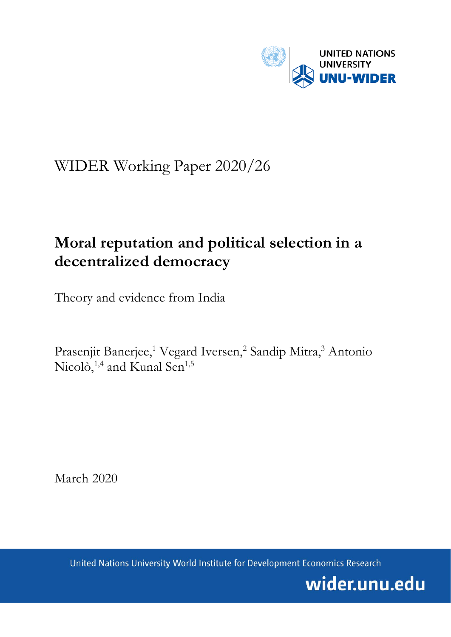

# WIDER Working Paper 2020/26

# **Moral reputation and political selection in a decentralized democracy**

Theory and evidence from India

Prasenjit Banerjee,<sup>1</sup> Vegard Iversen,<sup>2</sup> Sandip Mitra,<sup>3</sup> Antonio Nicolò,<sup>1,4</sup> and Kunal Sen<sup>1,5</sup>

March 2020

United Nations University World Institute for Development Economics Research

wider.unu.edu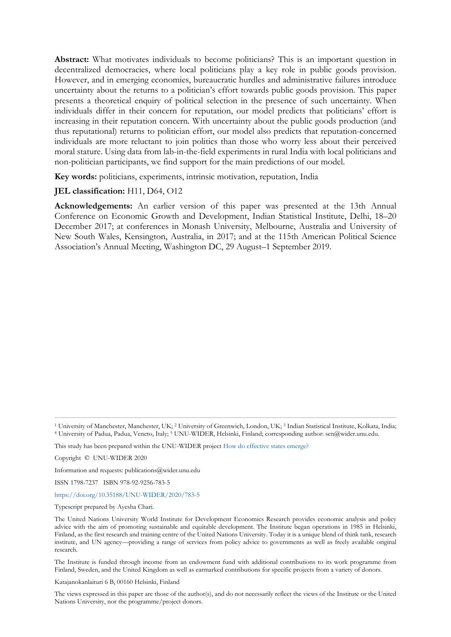**Abstract:** What motivates individuals to become politicians? This is an important question in decentralized democracies, where local politicians play a key role in public goods provision. However, and in emerging economies, bureaucratic hurdles and administrative failures introduce uncertainty about the returns to a politician's effort towards public goods provision. This paper presents a theoretical enquiry of political selection in the presence of such uncertainty. When individuals differ in their concern for reputation, our model predicts that politicians' effort is increasing in their reputation concern. With uncertainty about the public goods production (and thus reputational) returns to politician effort, our model also predicts that reputation-concerned individuals are more reluctant to join politics than those who worry less about their perceived moral stature. Using data from lab-in-the-field experiments in rural India with local politicians and non-politician participants, we find support for the main predictions of our model.

**Key words:** politicians, experiments, intrinsic motivation, reputation, India

#### **JEL classification:** H11, D64, O12

**Acknowledgements:** An earlier version of this paper was presented at the 13th Annual Conference on Economic Growth and Development, Indian Statistical Institute, Delhi, 18–20 December 2017; at conferences in Monash University, Melbourne, Australia and University of New South Wales, Kensington, Australia, in 2017; and at the 115th American Political Science Association's Annual Meeting, Washington DC, 29 August–1 September 2019.

Information and requests: publications@wider.unu.edu

ISSN 1798-7237 ISBN 978-92-9256-783-5

<https://doi.org/10.35188/UNU-WIDER/2020/783-5>

Typescript prepared by Ayesha Chari.

The Institute is funded through income from an endowment fund with additional contributions to its work programme from Finland, Sweden, and the United Kingdom as well as earmarked contributions for specific projects from a variety of donors.

Katajanokanlaituri 6 B, 00160 Helsinki, Finland

The views expressed in this paper are those of the author(s), and do not necessarily reflect the views of the Institute or the United Nations University, nor the programme/project donors.

<sup>&</sup>lt;sup>1</sup> University of Manchester, Manchester, UK; <sup>2</sup> University of Greenwich, London, UK; <sup>3</sup> Indian Statistical Institute, Kolkata, India;<br><sup>4</sup> University of Padua, Padua, Veneto, Italy; <sup>5</sup> UNU-WIDER, Helsinki, Finland; corr

This study has been prepared within the UNU-WIDER projec[t How do effective states emerge?](https://www.wider.unu.edu/node/237295)

Copyright © UNU-WIDER 2020

The United Nations University World Institute for Development Economics Research provides economic analysis and policy advice with the aim of promoting sustainable and equitable development. The Institute began operations in 1985 in Helsinki, Finland, as the first research and training centre of the United Nations University. Today it is a unique blend of think tank, research institute, and UN agency—providing a range of services from policy advice to governments as well as freely available original research.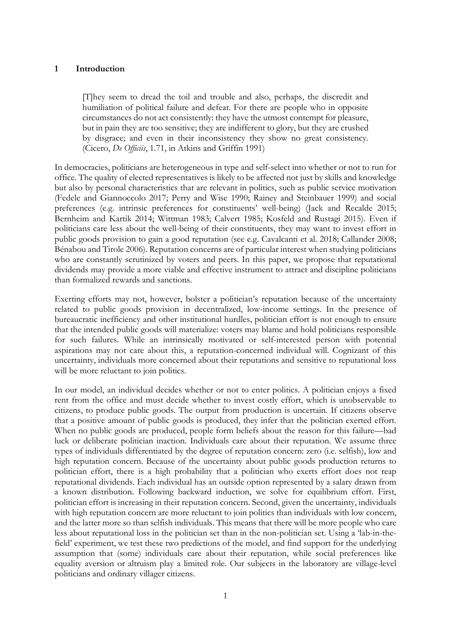#### **1 Introduction**

[T]hey seem to dread the toil and trouble and also, perhaps, the discredit and humiliation of political failure and defeat. For there are people who in opposite circumstances do not act consistently: they have the utmost contempt for pleasure, but in pain they are too sensitive; they are indifferent to glory, but they are crushed by disgrace; and even in their inconsistency they show no great consistency. (Cicero, *De Officiis*, 1.71, in Atkins and Griffin 1991)

In democracies, politicians are heterogeneous in type and self-select into whether or not to run for office. The quality of elected representatives is likely to be affected not just by skills and knowledge but also by personal characteristics that are relevant in politics, such as public service motivation (Fedele and Giannoccolo 2017; Perry and Wise 1990; Rainey and Steinbauer 1999) and social preferences (e.g. intrinsic preferences for constituents' well-being) (Jack and Recalde 2015; Bernheim and Kartik 2014; Wittman 1983; Calvert 1985; Kosfeld and Rustagi 2015). Even if politicians care less about the well-being of their constituents, they may want to invest effort in public goods provision to gain a good reputation (see e.g. Cavalcanti et al. 2018; Callander 2008; Bénabou and Tirole 2006). Reputation concerns are of particular interest when studying politicians who are constantly scrutinized by voters and peers. In this paper, we propose that reputational dividends may provide a more viable and effective instrument to attract and discipline politicians than formalized rewards and sanctions.

Exerting efforts may not, however, bolster a politician's reputation because of the uncertainty related to public goods provision in decentralized, low-income settings. In the presence of bureaucratic inefficiency and other institutional hurdles, politician effort is not enough to ensure that the intended public goods will materialize: voters may blame and hold politicians responsible for such failures. While an intrinsically motivated or self-interested person with potential aspirations may not care about this, a reputation-concerned individual will. Cognizant of this uncertainty, individuals more concerned about their reputations and sensitive to reputational loss will be more reluctant to join politics.

In our model, an individual decides whether or not to enter politics. A politician enjoys a fixed rent from the office and must decide whether to invest costly effort, which is unobservable to citizens, to produce public goods. The output from production is uncertain. If citizens observe that a positive amount of public goods is produced, they infer that the politician exerted effort. When no public goods are produced, people form beliefs about the reason for this failure—bad luck or deliberate politician inaction. Individuals care about their reputation. We assume three types of individuals differentiated by the degree of reputation concern: zero (i.e. selfish), low and high reputation concern. Because of the uncertainty about public goods production returns to politician effort, there is a high probability that a politician who exerts effort does not reap reputational dividends. Each individual has an outside option represented by a salary drawn from a known distribution. Following backward induction, we solve for equilibrium effort. First, politician effort is increasing in their reputation concern. Second, given the uncertainty, individuals with high reputation concern are more reluctant to join politics than individuals with low concern, and the latter more so than selfish individuals. This means that there will be more people who care less about reputational loss in the politician set than in the non-politician set. Using a 'lab-in-thefield' experiment, we test these two predictions of the model, and find support for the underlying assumption that (some) individuals care about their reputation, while social preferences like equality aversion or altruism play a limited role. Our subjects in the laboratory are village-level politicians and ordinary villager citizens.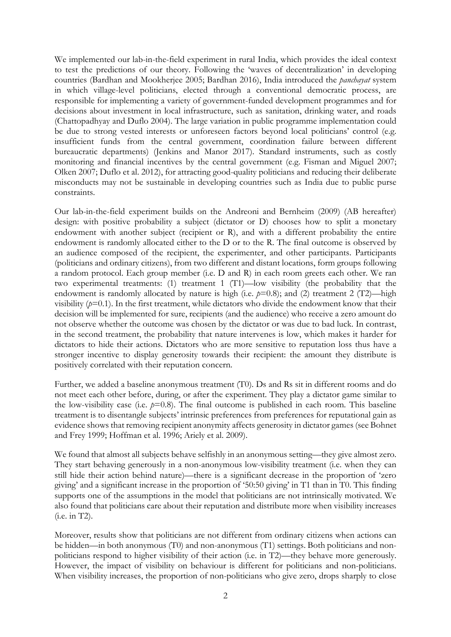We implemented our lab-in-the-field experiment in rural India, which provides the ideal context to test the predictions of our theory. Following the 'waves of decentralization' in developing countries (Bardhan and Mookherjee 2005; Bardhan 2016), India introduced the *panchayat* system in which village-level politicians, elected through a conventional democratic process, are responsible for implementing a variety of government-funded development programmes and for decisions about investment in local infrastructure, such as sanitation, drinking water, and roads (Chattopadhyay and Duflo 2004). The large variation in public programme implementation could be due to strong vested interests or unforeseen factors beyond local politicians' control (e.g. insufficient funds from the central government, coordination failure between different bureaucratic departments) (Jenkins and Manor 2017). Standard instruments, such as costly monitoring and financial incentives by the central government (e.g. Fisman and Miguel 2007; Olken 2007; Duflo et al. 2012), for attracting good-quality politicians and reducing their deliberate misconducts may not be sustainable in developing countries such as India due to public purse constraints.

Our lab-in-the-field experiment builds on the Andreoni and Bernheim (2009) (AB hereafter) design: with positive probability a subject (dictator or D) chooses how to split a monetary endowment with another subject (recipient or R), and with a different probability the entire endowment is randomly allocated either to the D or to the R. The final outcome is observed by an audience composed of the recipient, the experimenter, and other participants. Participants (politicians and ordinary citizens), from two different and distant locations, form groups following a random protocol. Each group member (i.e. D and R) in each room greets each other. We ran two experimental treatments: (1) treatment 1 (T1)—low visibility (the probability that the endowment is randomly allocated by nature is high (i.e.  $p=0.8$ ); and (2) treatment 2 (T2)—high visibility  $(p=0.1)$ . In the first treatment, while dictators who divide the endowment know that their decision will be implemented for sure, recipients (and the audience) who receive a zero amount do not observe whether the outcome was chosen by the dictator or was due to bad luck. In contrast, in the second treatment, the probability that nature intervenes is low, which makes it harder for dictators to hide their actions. Dictators who are more sensitive to reputation loss thus have a stronger incentive to display generosity towards their recipient: the amount they distribute is positively correlated with their reputation concern.

Further, we added a baseline anonymous treatment (T0). Ds and Rs sit in different rooms and do not meet each other before, during, or after the experiment. They play a dictator game similar to the low-visibility case (i.e.  $p=0.8$ ). The final outcome is published in each room. This baseline treatment is to disentangle subjects' intrinsic preferences from preferences for reputational gain as evidence shows that removing recipient anonymity affects generosity in dictator games (see Bohnet and Frey 1999; Hoffman et al. 1996; Ariely et al. 2009).

We found that almost all subjects behave selfishly in an anonymous setting—they give almost zero. They start behaving generously in a non-anonymous low-visibility treatment (i.e. when they can still hide their action behind nature)—there is a significant decrease in the proportion of 'zero giving' and a significant increase in the proportion of '50:50 giving' in T1 than in T0. This finding supports one of the assumptions in the model that politicians are not intrinsically motivated. We also found that politicians care about their reputation and distribute more when visibility increases (i.e. in T2).

Moreover, results show that politicians are not different from ordinary citizens when actions can be hidden—in both anonymous (T0) and non-anonymous (T1) settings. Both politicians and nonpoliticians respond to higher visibility of their action (i.e. in T2)—they behave more generously. However, the impact of visibility on behaviour is different for politicians and non-politicians. When visibility increases, the proportion of non-politicians who give zero, drops sharply to close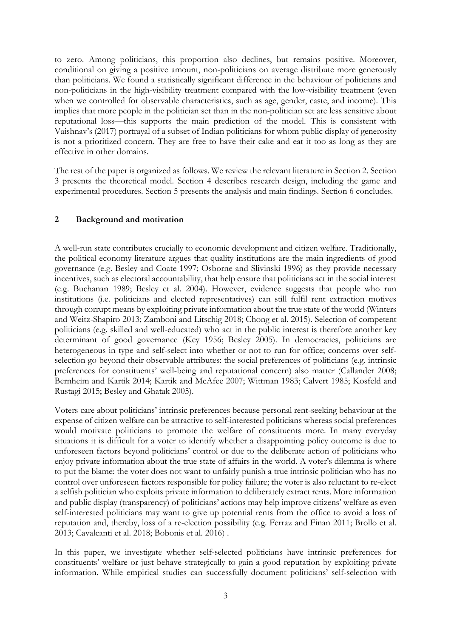to zero. Among politicians, this proportion also declines, but remains positive. Moreover, conditional on giving a positive amount, non-politicians on average distribute more generously than politicians. We found a statistically significant difference in the behaviour of politicians and non-politicians in the high-visibility treatment compared with the low-visibility treatment (even when we controlled for observable characteristics, such as age, gender, caste, and income). This implies that more people in the politician set than in the non-politician set are less sensitive about reputational loss—this supports the main prediction of the model. This is consistent with Vaishnav's (2017) portrayal of a subset of Indian politicians for whom public display of generosity is not a prioritized concern. They are free to have their cake and eat it too as long as they are effective in other domains.

The rest of the paper is organized as follows. We review the relevant literature in Section 2. Section 3 presents the theoretical model. Section 4 describes research design, including the game and experimental procedures. Section 5 presents the analysis and main findings. Section 6 concludes.

### **2 Background and motivation**

A well-run state contributes crucially to economic development and citizen welfare. Traditionally, the political economy literature argues that quality institutions are the main ingredients of good governance (e.g. Besley and Coate 1997; Osborne and Slivinski 1996) as they provide necessary incentives, such as electoral accountability, that help ensure that politicians act in the social interest (e.g. Buchanan 1989; Besley et al. 2004). However, evidence suggests that people who run institutions (i.e. politicians and elected representatives) can still fulfil rent extraction motives through corrupt means by exploiting private information about the true state of the world (Winters and Weitz-Shapiro 2013; Zamboni and Litschig 2018; Chong et al. 2015). Selection of competent politicians (e.g. skilled and well-educated) who act in the public interest is therefore another key determinant of good governance (Key 1956; Besley 2005). In democracies, politicians are heterogeneous in type and self-select into whether or not to run for office; concerns over selfselection go beyond their observable attributes: the social preferences of politicians (e.g. intrinsic preferences for constituents' well-being and reputational concern) also matter (Callander 2008; Bernheim and Kartik 2014; Kartik and McAfee 2007; Wittman 1983; Calvert 1985; Kosfeld and Rustagi 2015; Besley and Ghatak 2005).

Voters care about politicians' intrinsic preferences because personal rent-seeking behaviour at the expense of citizen welfare can be attractive to self-interested politicians whereas social preferences would motivate politicians to promote the welfare of constituents more. In many everyday situations it is difficult for a voter to identify whether a disappointing policy outcome is due to unforeseen factors beyond politicians' control or due to the deliberate action of politicians who enjoy private information about the true state of affairs in the world. A voter's dilemma is where to put the blame: the voter does not want to unfairly punish a true intrinsic politician who has no control over unforeseen factors responsible for policy failure; the voter is also reluctant to re-elect a selfish politician who exploits private information to deliberately extract rents. More information and public display (transparency) of politicians' actions may help improve citizens' welfare as even self-interested politicians may want to give up potential rents from the office to avoid a loss of reputation and, thereby, loss of a re-election possibility (e.g. Ferraz and Finan 2011; Brollo et al. 2013; Cavalcanti et al. 2018; Bobonis et al. 2016) .

In this paper, we investigate whether self-selected politicians have intrinsic preferences for constituents' welfare or just behave strategically to gain a good reputation by exploiting private information. While empirical studies can successfully document politicians' self-selection with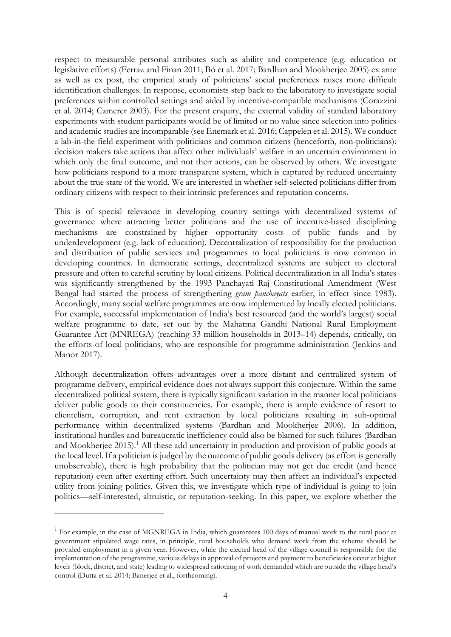respect to measurable personal attributes such as ability and competence (e.g. education or legislative efforts) (Ferraz and Finan 2011; Bó et al. 2017; Bardhan and Mookherjee 2005) ex ante as well as ex post, the empirical study of politicians' social preferences raises more difficult identification challenges. In response, economists step back to the laboratory to investigate social preferences within controlled settings and aided by incentive-compatible mechanisms (Corazzini et al. 2014; Camerer 2003). For the present enquiry, the external validity of standard laboratory experiments with student participants would be of limited or no value since selection into politics and academic studies are incomparable (see Enemark et al. 2016; Cappelen et al. 2015). We conduct a lab-in-the field experiment with politicians and common citizens (henceforth, non-politicians): decision makers take actions that affect other individuals' welfare in an uncertain environment in which only the final outcome, and not their actions, can be observed by others. We investigate how politicians respond to a more transparent system, which is captured by reduced uncertainty about the true state of the world. We are interested in whether self-selected politicians differ from ordinary citizens with respect to their intrinsic preferences and reputation concerns.

This is of special relevance in developing country settings with decentralized systems of governance where attracting better politicians and the use of incentive-based disciplining mechanisms are constrained by higher opportunity costs of public funds and by underdevelopment (e.g. lack of education). Decentralization of responsibility for the production and distribution of public services and programmes to local politicians is now common in developing countries. In democratic settings, decentralized systems are subject to electoral pressure and often to careful scrutiny by local citizens. Political decentralization in all India's states was significantly strengthened by the 1993 Panchayati Raj Constitutional Amendment (West Bengal had started the process of strengthening *gram panchayats* earlier, in effect since 1983). Accordingly, many social welfare programmes are now implemented by locally elected politicians. For example, successful implementation of India's best resourced (and the world's largest) social welfare programme to date, set out by the Mahatma Gandhi National Rural Employment Guarantee Act (MNREGA) (reaching 33 million households in 2013–14) depends, critically, on the efforts of local politicians, who are responsible for programme administration (Jenkins and Manor 2017).

Although decentralization offers advantages over a more distant and centralized system of programme delivery, empirical evidence does not always support this conjecture. Within the same decentralized political system, there is typically significant variation in the manner local politicians deliver public goods to their constituencies. For example, there is ample evidence of resort to clientelism, corruption, and rent extraction by local politicians resulting in sub-optimal performance within decentralized systems (Bardhan and Mookherjee 2006). In addition, institutional hurdles and bureaucratic inefficiency could also be blamed for such failures (Bardhan and Mookherjee 20[1](#page-5-0)5).<sup>1</sup> All these add uncertainty in production and provision of public goods at the local level. If a politician is judged by the outcome of public goods delivery (as effort is generally unobservable), there is high probability that the politician may not get due credit (and hence reputation) even after exerting effort. Such uncertainty may then affect an individual's expected utility from joining politics. Given this, we investigate which type of individual is going to join politics—self-interested, altruistic, or reputation-seeking. In this paper, we explore whether the

<span id="page-5-0"></span><sup>&</sup>lt;sup>1</sup> For example, in the case of MGNREGA in India, which guarantees 100 days of manual work to the rural poor at government stipulated wage rates, in principle, rural households who demand work from the scheme should be provided employment in a given year. However, while the elected head of the village council is responsible for the implementation of the programme, various delays in approval of projects and payment to beneficiaries occur at higher levels (block, district, and state) leading to widespread rationing of work demanded which are outside the village head's control (Dutta et al. 2014; Banerjee et al., forthcoming).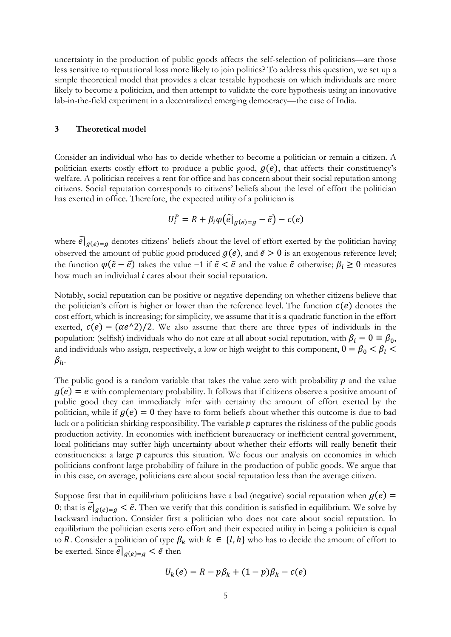uncertainty in the production of public goods affects the self-selection of politicians—are those less sensitive to reputational loss more likely to join politics? To address this question, we set up a simple theoretical model that provides a clear testable hypothesis on which individuals are more likely to become a politician, and then attempt to validate the core hypothesis using an innovative lab-in-the-field experiment in a decentralized emerging democracy—the case of India.

#### **3 Theoretical model**

Consider an individual who has to decide whether to become a politician or remain a citizen. A politician exerts costly effort to produce a public good,  $g(e)$ , that affects their constituency's welfare. A politician receives a rent for office and has concern about their social reputation among citizens. Social reputation corresponds to citizens' beliefs about the level of effort the politician has exerted in office. Therefore, the expected utility of a politician is

$$
U_i^P = R + \beta_i \varphi(\widetilde{e}|_{g(e)=g} - \overline{e}) - c(e)
$$

where  $e|_{g(e)=g}$  denotes citizens' beliefs about the level of effort exerted by the politician having observed the amount of public good produced  $g(e)$ , and  $\bar{e} > 0$  is an exogenous reference level; the function  $\varphi(\tilde{e} - \bar{e})$  takes the value −1 if  $\tilde{e} < \bar{e}$  and the value  $\tilde{e}$  otherwise;  $\beta_i \ge 0$  measures how much an individual  $i$  cares about their social reputation.

Notably, social reputation can be positive or negative depending on whether citizens believe that the politician's effort is higher or lower than the reference level. The function  $c(e)$  denotes the cost effort, which is increasing; for simplicity, we assume that it is a quadratic function in the effort exerted,  $c(e) = (\alpha e^{\lambda}2)/2$ . We also assume that there are three types of individuals in the population: (selfish) individuals who do not care at all about social reputation, with  $\beta_i = 0 \equiv \beta_0$ , and individuals who assign, respectively, a low or high weight to this component,  $0 = \beta_0 < \beta_l$  $\beta_h$ .

The public good is a random variable that takes the value zero with probability  $p$  and the value  $g(e) = e$  with complementary probability. It follows that if citizens observe a positive amount of public good they can immediately infer with certainty the amount of effort exerted by the politician, while if  $g(e) = 0$  they have to form beliefs about whether this outcome is due to bad luck or a politician shirking responsibility. The variable  $p$  captures the riskiness of the public goods production activity. In economies with inefficient bureaucracy or inefficient central government, local politicians may suffer high uncertainty about whether their efforts will really benefit their constituencies: a large  $p$  captures this situation. We focus our analysis on economies in which politicians confront large probability of failure in the production of public goods. We argue that in this case, on average, politicians care about social reputation less than the average citizen.

Suppose first that in equilibrium politicians have a bad (negative) social reputation when  $g(e)$  = 0; that is  $e|_{g(e)=g} < \bar{e}$ . Then we verify that this condition is satisfied in equilibrium. We solve by backward induction. Consider first a politician who does not care about social reputation. In equilibrium the politician exerts zero effort and their expected utility in being a politician is equal to R. Consider a politician of type  $\beta_k$  with  $k \in \{l, h\}$  who has to decide the amount of effort to be exerted. Since  $\mathcal{C}|_{g(e)=g} < \bar{e}$  then

$$
U_k(e) = R - p\beta_k + (1 - p)\beta_k - c(e)
$$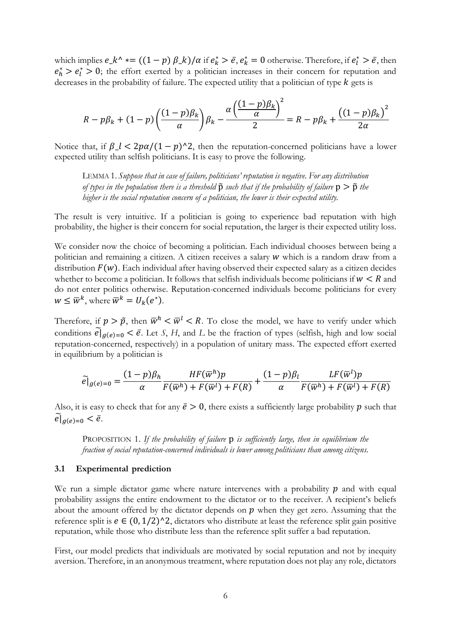which implies  $e_k^* \cdot (1-p) \beta_k / \alpha$  if  $e_k^* > \bar{e}, e_k^* = 0$  otherwise. Therefore, if  $e_l^* > \bar{e}$ , then  $e_h^* > e_l^* > 0$ ; the effort exerted by a politician increases in their concern for reputation and decreases in the probability of failure. The expected utility that a politician of type  $k$  gets is

$$
R - p\beta_k + (1 - p)\left(\frac{(1 - p)\beta_k}{\alpha}\right)\beta_k - \frac{\alpha\left(\frac{(1 - p)\beta_k}{\alpha}\right)^2}{2} = R - p\beta_k + \frac{((1 - p)\beta_k)^2}{2\alpha}
$$

Notice that, if  $\beta$ <sub>-</sub> $l < 2p\alpha/(1-p)^{2}$ , then the reputation-concerned politicians have a lower expected utility than selfish politicians. It is easy to prove the following.

LEMMA 1. *Suppose that in case of failure, politicians' reputation is negative. For any distribution of types in the population there is a threshold*  $\tilde{p}$  *such that if the probability of failure*  $p > \tilde{p}$  *the higher is the social reputation concern of a politician, the lower is their expected utility.*

The result is very intuitive. If a politician is going to experience bad reputation with high probability, the higher is their concern for social reputation, the larger is their expected utility loss.

We consider now the choice of becoming a politician. Each individual chooses between being a politician and remaining a citizen. A citizen receives a salary  $w$  which is a random draw from a distribution  $F(w)$ . Each individual after having observed their expected salary as a citizen decides whether to become a politician. It follows that selfish individuals become politicians if  $w < R$  and do not enter politics otherwise. Reputation-concerned individuals become politicians for every  $W \leq \overline{W}^k$ , where  $\overline{W}^k = U_k(e^*)$ .

Therefore, if  $p > \tilde{p}$ , then  $\overline{w}^h < \overline{w}^l < R$ . To close the model, we have to verify under which conditions  $e|_{g(e)=0} < \bar{e}$ . Let *S*, *H*, and *L* be the fraction of types (selfish, high and low social reputation-concerned, respectively) in a population of unitary mass. The expected effort exerted in equilibrium by a politician is

$$
\widetilde{e}|_{g(e)=0} = \frac{(1-p)\beta_h}{\alpha} \frac{HF(\overline{w}^h)p}{F(\overline{w}^h) + F(\overline{w}^l) + F(R)} + \frac{(1-p)\beta_l}{\alpha} \frac{LF(\overline{w}^l)p}{F(\overline{w}^h) + F(\overline{w}^l) + F(R)}
$$

Also, it is easy to check that for any  $\bar{e} > 0$ , there exists a sufficiently large probability p such that  $e|_{g(e)=0} < \bar{e}.$ 

PROPOSITION 1. *If the probability of failure* p *is sufficiently large, then in equilibrium the fraction of social reputation-concerned individuals is lower among politicians than among citizens.*

#### **3.1 Experimental prediction**

We run a simple dictator game where nature intervenes with a probability  $p$  and with equal probability assigns the entire endowment to the dictator or to the receiver. A recipient's beliefs about the amount offered by the dictator depends on  $p$  when they get zero. Assuming that the reference split is  $e \in (0, 1/2)$ <sup> $\wedge$ </sup>2, dictators who distribute at least the reference split gain positive reputation, while those who distribute less than the reference split suffer a bad reputation.

First, our model predicts that individuals are motivated by social reputation and not by inequity aversion. Therefore, in an anonymous treatment, where reputation does not play any role, dictators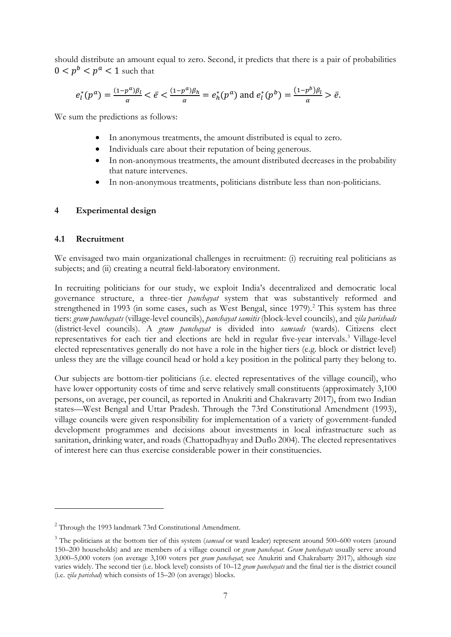should distribute an amount equal to zero. Second, it predicts that there is a pair of probabilities  $0 < p^b < p^a < 1$  such that

$$
e_l^*(p^a) = \frac{(1-p^a)\beta_l}{\alpha} < \bar{e} < \frac{(1-p^a)\beta_h}{\alpha} = e_h^*(p^a)
$$
 and  $e_l^*(p^b) = \frac{(1-p^b)\beta_l}{\alpha} > \bar{e}$ .

We sum the predictions as follows:

- In anonymous treatments, the amount distributed is equal to zero.
- Individuals care about their reputation of being generous.
- In non-anonymous treatments, the amount distributed decreases in the probability that nature intervenes.
- In non-anonymous treatments, politicians distribute less than non-politicians.

#### **4 Experimental design**

#### **4.1 Recruitment**

We envisaged two main organizational challenges in recruitment: (i) recruiting real politicians as subjects; and (ii) creating a neutral field-laboratory environment.

In recruiting politicians for our study, we exploit India's decentralized and democratic local governance structure, a three-tier *panchayat* system that was substantively reformed and strengthened in 1993 (in some cases, such as West Bengal, since 1979).<sup>[2](#page-8-0)</sup> This system has three tiers: *gram panchayats* (village-level councils), *panchayat samitis* (block-level councils), and *zila parishads* (district-level councils). A *gram panchayat* is divided into *samsads* (wards). Citizens elect representatives for each tier and elections are held in regular five-year intervals. [3](#page-8-1) Village-level elected representatives generally do not have a role in the higher tiers (e.g. block or district level) unless they are the village council head or hold a key position in the political party they belong to.

Our subjects are bottom-tier politicians (i.e. elected representatives of the village council), who have lower opportunity costs of time and serve relatively small constituents (approximately 3,100 persons, on average, per council, as reported in Anukriti and Chakravarty 2017), from two Indian states—West Bengal and Uttar Pradesh. Through the 73rd Constitutional Amendment (1993), village councils were given responsibility for implementation of a variety of government-funded development programmes and decisions about investments in local infrastructure such as sanitation, drinking water, and roads (Chattopadhyay and Duflo 2004). The elected representatives of interest here can thus exercise considerable power in their constituencies.

<span id="page-8-0"></span><sup>&</sup>lt;sup>2</sup> Through the 1993 landmark 73rd Constitutional Amendment.

<span id="page-8-1"></span><sup>3</sup> The politicians at the bottom tier of this system (*samsad* or ward leader) represent around 500–600 voters (around 150–200 households) and are members of a village council or *gram panchayat*. *Gram panchayats* usually serve around 3,000–5,000 voters (on average 3,100 voters per *gram panchayat*; see Anukriti and Chakrabarty 2017), although size varies widely. The second tier (i.e. block level) consists of 10–12 *gram panchayats* and the final tier is the district council (i.e. *zila parishad*) which consists of 15–20 (on average) blocks.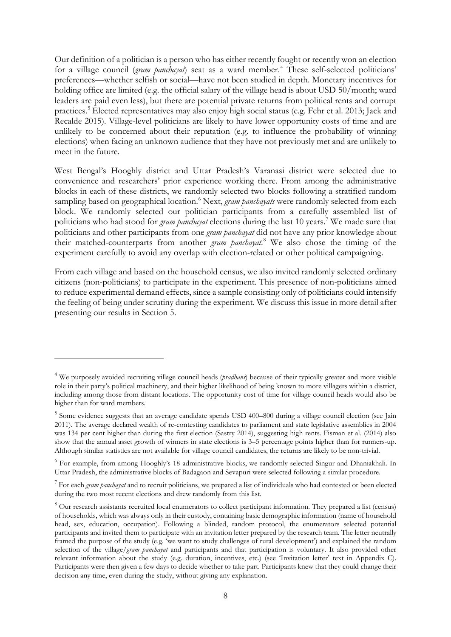Our definition of a politician is a person who has either recently fought or recently won an election for a village council (*gram panchayat*) seat as a ward member. [4](#page-9-0) These self-selected politicians' preferences—whether selfish or social—have not been studied in depth. Monetary incentives for holding office are limited (e.g. the official salary of the village head is about USD 50/month; ward leaders are paid even less), but there are potential private returns from political rents and corrupt practices. [5](#page-9-1) Elected representatives may also enjoy high social status (e.g. Fehr et al. 2013; Jack and Recalde 2015). Village-level politicians are likely to have lower opportunity costs of time and are unlikely to be concerned about their reputation (e.g. to influence the probability of winning elections) when facing an unknown audience that they have not previously met and are unlikely to meet in the future.

West Bengal's Hooghly district and Uttar Pradesh's Varanasi district were selected due to convenience and researchers' prior experience working there. From among the administrative blocks in each of these districts, we randomly selected two blocks following a stratified random sampling based on geographical location. [6](#page-9-2) Next, *gram panchayats* were randomly selected from each block. We randomly selected our politician participants from a carefully assembled list of politicians who had stood for *gram panchayat* elections during the last 10 years. [7](#page-9-3) We made sure that politicians and other participants from one *gram panchayat* did not have any prior knowledge about their matched-counterparts from another *gram panchayat*. [8](#page-9-4) We also chose the timing of the experiment carefully to avoid any overlap with election-related or other political campaigning.

From each village and based on the household census, we also invited randomly selected ordinary citizens (non-politicians) to participate in the experiment. This presence of non-politicians aimed to reduce experimental demand effects, since a sample consisting only of politicians could intensify the feeling of being under scrutiny during the experiment. We discuss this issue in more detail after presenting our results in Section 5.

<span id="page-9-0"></span><sup>4</sup> We purposely avoided recruiting village council heads (*pradhans*) because of their typically greater and more visible role in their party's political machinery, and their higher likelihood of being known to more villagers within a district, including among those from distant locations. The opportunity cost of time for village council heads would also be higher than for ward members.

<span id="page-9-1"></span><sup>5</sup> Some evidence suggests that an average candidate spends USD 400–800 during a village council election (see Jain 2011). The average declared wealth of re-contesting candidates to parliament and state legislative assemblies in 2004 was 134 per cent higher than during the first election (Sastry 2014), suggesting high rents. Fisman et al. (2014) also show that the annual asset growth of winners in state elections is 3–5 percentage points higher than for runners-up. Although similar statistics are not available for village council candidates, the returns are likely to be non-trivial.

<span id="page-9-2"></span><sup>6</sup> For example, from among Hooghly's 18 administrative blocks, we randomly selected Singur and Dhaniakhali. In Uttar Pradesh, the administrative blocks of Badagaon and Sevapuri were selected following a similar procedure.

<span id="page-9-3"></span><sup>7</sup> For each *gram panchayat* and to recruit politicians, we prepared a list of individuals who had contested or been elected during the two most recent elections and drew randomly from this list.

<span id="page-9-4"></span><sup>&</sup>lt;sup>8</sup> Our research assistants recruited local enumerators to collect participant information. They prepared a list (census) of households, which was always only in their custody, containing basic demographic information (name of household head, sex, education, occupation). Following a blinded, random protocol, the enumerators selected potential participants and invited them to participate with an invitation letter prepared by the research team. The letter neutrally framed the purpose of the study (e.g. 'we want to study challenges of rural development') and explained the random selection of the village/*gram panchayat* and participants and that participation is voluntary. It also provided other relevant information about the study (e.g. duration, incentives, etc.) (see 'Invitation letter' text in Appendix C). Participants were then given a few days to decide whether to take part. Participants knew that they could change their decision any time, even during the study, without giving any explanation.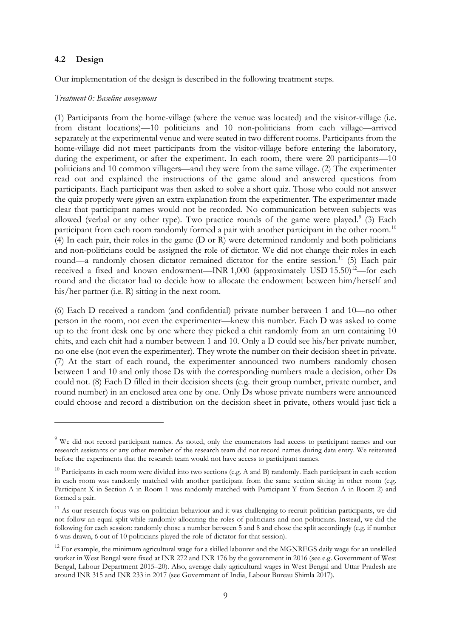#### **4.2 Design**

Our implementation of the design is described in the following treatment steps.

#### *Treatment 0: Baseline anonymous*

(1) Participants from the home-village (where the venue was located) and the visitor-village (i.e. from distant locations)—10 politicians and 10 non-politicians from each village—arrived separately at the experimental venue and were seated in two different rooms. Participants from the home-village did not meet participants from the visitor-village before entering the laboratory, during the experiment, or after the experiment. In each room, there were 20 participants—10 politicians and 10 common villagers—and they were from the same village. (2) The experimenter read out and explained the instructions of the game aloud and answered questions from participants. Each participant was then asked to solve a short quiz. Those who could not answer the quiz properly were given an extra explanation from the experimenter. The experimenter made clear that participant names would not be recorded. No communication between subjects was allowed (verbal or any other type). Two practice rounds of the game were played.<sup>[9](#page-10-0)</sup> (3) Each participant from each room randomly formed a pair with another participant in the other room.<sup>[10](#page-10-1)</sup> (4) In each pair, their roles in the game (D or R) were determined randomly and both politicians and non-politicians could be assigned the role of dictator. We did not change their roles in each round—a randomly chosen dictator remained dictator for the entire session.<sup>[11](#page-10-2)</sup> (5) Each pair received a fixed and known endowment—INR 1,000 (approximately USD 15.50)<sup>[12](#page-10-3)</sup>—for each round and the dictator had to decide how to allocate the endowment between him/herself and his/her partner (i.e. R) sitting in the next room.

(6) Each D received a random (and confidential) private number between 1 and 10—no other person in the room, not even the experimenter—knew this number. Each D was asked to come up to the front desk one by one where they picked a chit randomly from an urn containing 10 chits, and each chit had a number between 1 and 10. Only a D could see his/her private number, no one else (not even the experimenter). They wrote the number on their decision sheet in private. (7) At the start of each round, the experimenter announced two numbers randomly chosen between 1 and 10 and only those Ds with the corresponding numbers made a decision, other Ds could not. (8) Each D filled in their decision sheets (e.g. their group number, private number, and round number) in an enclosed area one by one. Only Ds whose private numbers were announced could choose and record a distribution on the decision sheet in private, others would just tick a

<span id="page-10-0"></span><sup>&</sup>lt;sup>9</sup> We did not record participant names. As noted, only the enumerators had access to participant names and our research assistants or any other member of the research team did not record names during data entry. We reiterated before the experiments that the research team would not have access to participant names.

<span id="page-10-1"></span> $10$  Participants in each room were divided into two sections (e.g. A and B) randomly. Each participant in each section in each room was randomly matched with another participant from the same section sitting in other room (e.g. Participant X in Section A in Room 1 was randomly matched with Participant Y from Section A in Room 2) and formed a pair.

<span id="page-10-2"></span><sup>&</sup>lt;sup>11</sup> As our research focus was on politician behaviour and it was challenging to recruit politician participants, we did not follow an equal split while randomly allocating the roles of politicians and non-politicians. Instead, we did the following for each session: randomly chose a number between 5 and 8 and chose the split accordingly (e.g. if number 6 was drawn, 6 out of 10 politicians played the role of dictator for that session).

<span id="page-10-3"></span><sup>&</sup>lt;sup>12</sup> For example, the minimum agricultural wage for a skilled labourer and the MGNREGS daily wage for an unskilled worker in West Bengal were fixed at INR 272 and INR 176 by the government in 2016 (see e.g. Government of West Bengal, Labour Department 2015–20). Also, average daily agricultural wages in West Bengal and Uttar Pradesh are around INR 315 and INR 233 in 2017 (see Government of India, Labour Bureau Shimla 2017).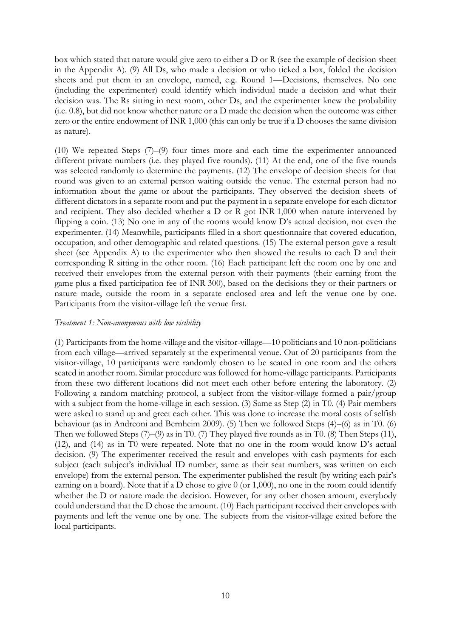box which stated that nature would give zero to either a D or R (see the example of decision sheet in the Appendix A). (9) All Ds, who made a decision or who ticked a box, folded the decision sheets and put them in an envelope, named, e.g. Round 1—Decisions, themselves. No one (including the experimenter) could identify which individual made a decision and what their decision was. The Rs sitting in next room, other Ds, and the experimenter knew the probability (i.e. 0.8), but did not know whether nature or a D made the decision when the outcome was either zero or the entire endowment of INR 1,000 (this can only be true if a D chooses the same division as nature).

(10) We repeated Steps (7)–(9) four times more and each time the experimenter announced different private numbers (i.e. they played five rounds). (11) At the end, one of the five rounds was selected randomly to determine the payments. (12) The envelope of decision sheets for that round was given to an external person waiting outside the venue. The external person had no information about the game or about the participants. They observed the decision sheets of different dictators in a separate room and put the payment in a separate envelope for each dictator and recipient. They also decided whether a D or R got INR 1,000 when nature intervened by flipping a coin. (13) No one in any of the rooms would know D's actual decision, not even the experimenter. (14) Meanwhile, participants filled in a short questionnaire that covered education, occupation, and other demographic and related questions. (15) The external person gave a result sheet (see Appendix A) to the experimenter who then showed the results to each D and their corresponding R sitting in the other room. (16) Each participant left the room one by one and received their envelopes from the external person with their payments (their earning from the game plus a fixed participation fee of INR 300), based on the decisions they or their partners or nature made, outside the room in a separate enclosed area and left the venue one by one. Participants from the visitor-village left the venue first.

#### *Treatment 1: Non-anonymous with low visibility*

(1) Participants from the home-village and the visitor-village—10 politicians and 10 non-politicians from each village—arrived separately at the experimental venue. Out of 20 participants from the visitor-village, 10 participants were randomly chosen to be seated in one room and the others seated in another room. Similar procedure was followed for home-village participants. Participants from these two different locations did not meet each other before entering the laboratory. (2) Following a random matching protocol, a subject from the visitor-village formed a pair/group with a subject from the home-village in each session. (3) Same as Step (2) in T0. (4) Pair members were asked to stand up and greet each other. This was done to increase the moral costs of selfish behaviour (as in Andreoni and Bernheim 2009). (5) Then we followed Steps (4)–(6) as in T0. (6) Then we followed Steps (7)–(9) as in T0. (7) They played five rounds as in T0. (8) Then Steps (11), (12), and (14) as in T0 were repeated. Note that no one in the room would know D's actual decision. (9) The experimenter received the result and envelopes with cash payments for each subject (each subject's individual ID number, same as their seat numbers, was written on each envelope) from the external person. The experimenter published the result (by writing each pair's earning on a board). Note that if a D chose to give 0 (or 1,000), no one in the room could identify whether the D or nature made the decision. However, for any other chosen amount, everybody could understand that the D chose the amount. (10) Each participant received their envelopes with payments and left the venue one by one. The subjects from the visitor-village exited before the local participants.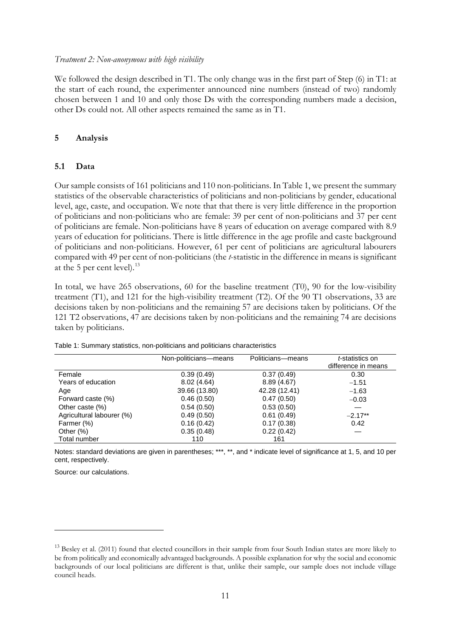#### *Treatment 2: Non-anonymous with high visibility*

We followed the design described in T1. The only change was in the first part of Step (6) in T1: at the start of each round, the experimenter announced nine numbers (instead of two) randomly chosen between 1 and 10 and only those Ds with the corresponding numbers made a decision, other Ds could not. All other aspects remained the same as in T1.

#### **5 Analysis**

#### **5.1 Data**

Our sample consists of 161 politicians and 110 non-politicians. In Table 1, we present the summary statistics of the observable characteristics of politicians and non-politicians by gender, educational level, age, caste, and occupation. We note that that there is very little difference in the proportion of politicians and non-politicians who are female: 39 per cent of non-politicians and 37 per cent of politicians are female. Non-politicians have 8 years of education on average compared with 8.9 years of education for politicians. There is little difference in the age profile and caste background of politicians and non-politicians. However, 61 per cent of politicians are agricultural labourers compared with 49 per cent of non-politicians (the *t*-statistic in the difference in means is significant at the 5 per cent level). $^{13}$  $^{13}$  $^{13}$ 

In total, we have 265 observations, 60 for the baseline treatment (T0), 90 for the low-visibility treatment (T1), and 121 for the high-visibility treatment (T2). Of the 90 T1 observations, 33 are decisions taken by non-politicians and the remaining 57 are decisions taken by politicians. Of the 121 T2 observations, 47 are decisions taken by non-politicians and the remaining 74 are decisions taken by politicians.

|                           | Non-politicians-means | Politicians-means | <i>t</i> -statistics on<br>difference in means |
|---------------------------|-----------------------|-------------------|------------------------------------------------|
| Female                    | 0.39(0.49)            | 0.37(0.49)        | 0.30                                           |
| Years of education        | 8.02(4.64)            | 8.89(4.67)        | $-1.51$                                        |
| Age                       | 39.66 (13.80)         | 42.28 (12.41)     | $-1.63$                                        |
| Forward caste (%)         | 0.46(0.50)            | 0.47(0.50)        | $-0.03$                                        |
| Other caste (%)           | 0.54(0.50)            | 0.53(0.50)        |                                                |
| Agricultural labourer (%) | 0.49(0.50)            | 0.61(0.49)        | $-2.17**$                                      |
| Farmer (%)                | 0.16(0.42)            | 0.17(0.38)        | 0.42                                           |
| Other $(\%)$              | 0.35(0.48)            | 0.22(0.42)        |                                                |
| Total number              | 110                   | 161               |                                                |

Table 1: Summary statistics, non-politicians and politicians characteristics

Notes: standard deviations are given in parentheses; \*\*\*, \*\*, and \* indicate level of significance at 1, 5, and 10 per cent, respectively.

<span id="page-12-0"></span> $13$  Besley et al. (2011) found that elected councillors in their sample from four South Indian states are more likely to be from politically and economically advantaged backgrounds. A possible explanation for why the social and economic backgrounds of our local politicians are different is that, unlike their sample, our sample does not include village council heads.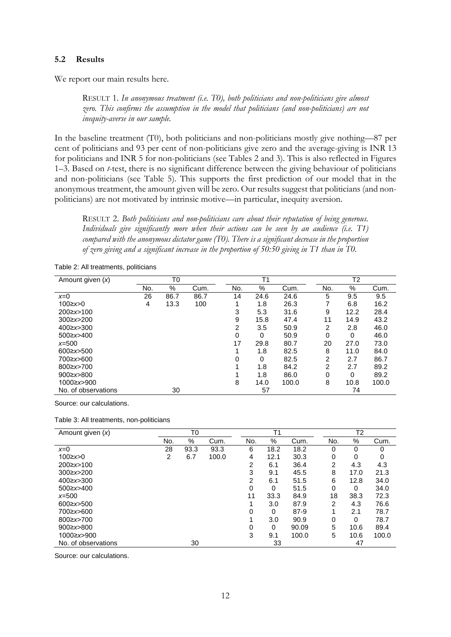#### **5.2 Results**

We report our main results here.

RESULT 1. *In anonymous treatment (i.e. T0), both politicians and non-politicians give almost zero. This confirms the assumption in the model that politicians (and non-politicians) are not inequity-averse in our sample.*

In the baseline treatment (T0), both politicians and non-politicians mostly give nothing—87 per cent of politicians and 93 per cent of non-politicians give zero and the average-giving is INR 13 for politicians and INR 5 for non-politicians (see Tables 2 and 3). This is also reflected in Figures 1–3. Based on *t*-test, there is no significant difference between the giving behaviour of politicians and non-politicians (see Table 5). This supports the first prediction of our model that in the anonymous treatment, the amount given will be zero. Our results suggest that politicians (and nonpoliticians) are not motivated by intrinsic motive—in particular, inequity aversion.

RESULT 2. *Both politicians and non-politicians care about their reputation of being generous. Individuals give significantly more when their actions can be seen by an audience (i.e. T1) compared with the anonymous dictator game (T0). There is a significant decrease in the proportion of zero giving and a significant increase in the proportion of 50:50 giving in T1 than in T0.*

|  | Table 2: All treatments, politicians |  |
|--|--------------------------------------|--|
|--|--------------------------------------|--|

| Amount given $(x)$  | T0  |      |      | T <sub>1</sub> |      |       | T <sub>2</sub> |          |       |
|---------------------|-----|------|------|----------------|------|-------|----------------|----------|-------|
|                     | No. | $\%$ | Cum. | No.            | %    | Cum.  | No.            | %        | Cum.  |
| $x=0$               | 26  | 86.7 | 86.7 | 14             | 24.6 | 24.6  | 5              | 9.5      | 9.5   |
| $100 \ge x > 0$     | 4   | 13.3 | 100  | 1              | 1.8  | 26.3  |                | 6.8      | 16.2  |
| 200≥x>100           |     |      |      | 3              | 5.3  | 31.6  | 9              | 12.2     | 28.4  |
| $300 \ge x \ge 200$ |     |      |      | 9              | 15.8 | 47.4  | 11             | 14.9     | 43.2  |
| 400≥x>300           |     |      |      | 2              | 3.5  | 50.9  | $\overline{2}$ | 2.8      | 46.0  |
| 500≥x>400           |     |      |      | 0              | 0    | 50.9  | 0              | $\Omega$ | 46.0  |
| $x=500$             |     |      |      | 17             | 29.8 | 80.7  | 20             | 27.0     | 73.0  |
| $600 \ge x \ge 500$ |     |      |      |                | 1.8  | 82.5  | 8              | 11.0     | 84.0  |
| 700≥x>600           |     |      |      | 0              | 0    | 82.5  | 2              | 2.7      | 86.7  |
| 800≥x>700           |     |      |      |                | 1.8  | 84.2  | 2              | 2.7      | 89.2  |
| 900 $\ge x > 800$   |     |      |      |                | 1.8  | 86.0  | 0              | $\Omega$ | 89.2  |
| 1000≥x>900          |     |      |      | 8              | 14.0 | 100.0 | 8              | 10.8     | 100.0 |
| No. of observations |     | 30   |      |                | 57   |       |                | 74       |       |

Source: our calculations.

| Amount given $(x)$  |     | T <sub>0</sub> |       |     | T <sub>1</sub> |       |                | T <sub>2</sub> |       |  |  |
|---------------------|-----|----------------|-------|-----|----------------|-------|----------------|----------------|-------|--|--|
|                     | No. | $\%$           | Cum.  | No. | %              | Cum.  | No.            | %              | Cum.  |  |  |
| $x=0$               | 28  | 93.3           | 93.3  | 6   | 18.2           | 18.2  | 0              | 0              | 0     |  |  |
| $100 \ge x > 0$     | 2   | 6.7            | 100.0 | 4   | 12.1           | 30.3  | 0              | 0              | 0     |  |  |
| 200≥x>100           |     |                |       | 2   | 6.1            | 36.4  | 2              | 4.3            | 4.3   |  |  |
| $300 \ge x \ge 200$ |     |                |       | 3   | 9.1            | 45.5  | 8              | 17.0           | 21.3  |  |  |
| 400≥x>300           |     |                |       | 2   | 6.1            | 51.5  | 6              | 12.8           | 34.0  |  |  |
| 500≥x>400           |     |                |       | 0   | 0              | 51.5  | 0              | 0              | 34.0  |  |  |
| $x=500$             |     |                |       | 11  | 33.3           | 84.9  | 18             | 38.3           | 72.3  |  |  |
| $600 \ge x \ge 500$ |     |                |       |     | 3.0            | 87.9  | $\overline{2}$ | 4.3            | 76.6  |  |  |
| 700≥x>600           |     |                |       | 0   | 0              | 87-9  |                | 2.1            | 78.7  |  |  |
| 800≥x>700           |     |                |       |     | 3.0            | 90.9  | 0              | $\Omega$       | 78.7  |  |  |
| 900 $\ge x > 800$   |     |                |       | 0   | 0              | 90.09 | 5              | 10.6           | 89.4  |  |  |
| 1000≥x>900          |     |                |       | 3   | 9.1            | 100.0 | 5              | 10.6           | 100.0 |  |  |
| No. of observations |     | 30             |       |     | 33             |       |                | 47             |       |  |  |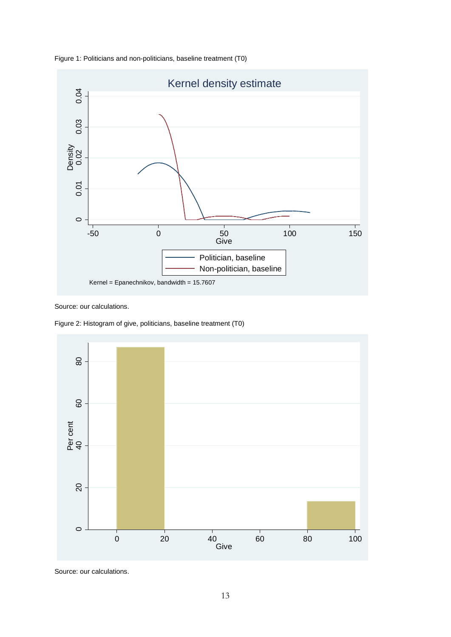



Source: our calculations.

Figure 2: Histogram of give, politicians, baseline treatment (T0)

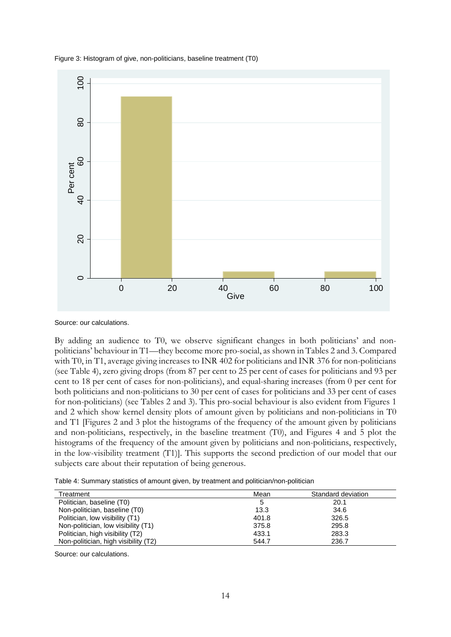



Source: our calculations.

By adding an audience to T0, we observe significant changes in both politicians' and nonpoliticians' behaviour in T1—they become more pro-social, as shown in Tables 2 and 3. Compared with T0, in T1, average giving increases to INR 402 for politicians and INR 376 for non-politicians (see Table 4), zero giving drops (from 87 per cent to 25 per cent of cases for politicians and 93 per cent to 18 per cent of cases for non-politicians), and equal-sharing increases (from 0 per cent for both politicians and non-politicians to 30 per cent of cases for politicians and 33 per cent of cases for non-politicians) (see Tables 2 and 3). This pro-social behaviour is also evident from Figures 1 and 2 which show kernel density plots of amount given by politicians and non-politicians in T0 and T1 [Figures 2 and 3 plot the histograms of the frequency of the amount given by politicians and non-politicians, respectively, in the baseline treatment (T0), and Figures 4 and 5 plot the histograms of the frequency of the amount given by politicians and non-politicians, respectively, in the low-visibility treatment (T1)]. This supports the second prediction of our model that our subjects care about their reputation of being generous.

Table 4: Summary statistics of amount given, by treatment and politician/non-politician

| Treatment                            | Mean  | Standard deviation |
|--------------------------------------|-------|--------------------|
| Politician, baseline (T0)            |       | 20.1               |
| Non-politician, baseline (T0)        | 13.3  | 34.6               |
| Politician, low visibility (T1)      | 401.8 | 326.5              |
| Non-politician, low visibility (T1)  | 375.8 | 295.8              |
| Politician, high visibility (T2)     | 433.1 | 283.3              |
| Non-politician, high visibility (T2) | 544.7 | 236.7              |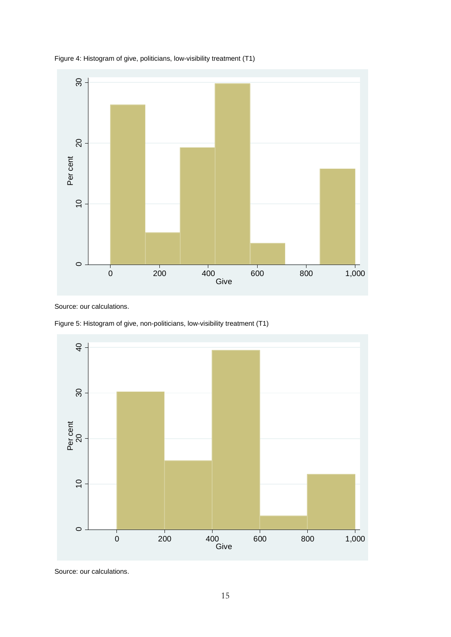

Figure 4: Histogram of give, politicians, low-visibility treatment (T1)



Source: our calculations.

Figure 5: Histogram of give, non-politicians, low-visibility treatment (T1)

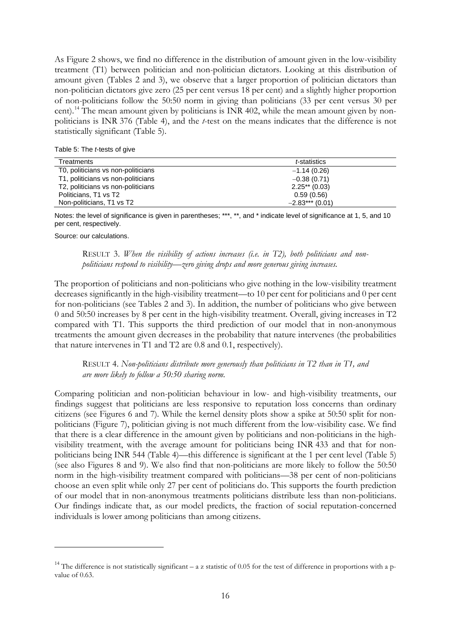As Figure 2 shows, we find no difference in the distribution of amount given in the low-visibility treatment (T1) between politician and non-politician dictators. Looking at this distribution of amount given (Tables 2 and 3), we observe that a larger proportion of politician dictators than non-politician dictators give zero (25 per cent versus 18 per cent) and a slightly higher proportion of non-politicians follow the 50:50 norm in giving than politicians (33 per cent versus 30 per cent).<sup>[14](#page-17-0)</sup> The mean amount given by politicians is INR 402, while the mean amount given by nonpoliticians is INR 376 (Table 4), and the *t*-test on the means indicates that the difference is not statistically significant (Table 5).

Table 5: The *t*-tests of give

| Treatments                         | t-statistics      |
|------------------------------------|-------------------|
| T0, politicians vs non-politicians | $-1.14(0.26)$     |
| T1, politicians vs non-politicians | $-0.38(0.71)$     |
| T2, politicians vs non-politicians | $2.25**$ (0.03)   |
| Politicians, T1 vs T2              | 0.59(0.56)        |
| Non-politicians, T1 vs T2          | $-2.83***$ (0.01) |

Notes: the level of significance is given in parentheses; \*\*\*, \*\*, and \* indicate level of significance at 1, 5, and 10 per cent, respectively.

Source: our calculations.

RESULT 3. *When the visibility of actions increases (i.e. in T2), both politicians and nonpoliticians respond to visibility—zero giving drops and more generous giving increases.*

The proportion of politicians and non-politicians who give nothing in the low-visibility treatment decreases significantly in the high-visibility treatment—to 10 per cent for politicians and 0 per cent for non-politicians (see Tables 2 and 3). In addition, the number of politicians who give between 0 and 50:50 increases by 8 per cent in the high-visibility treatment. Overall, giving increases in T2 compared with T1. This supports the third prediction of our model that in non-anonymous treatments the amount given decreases in the probability that nature intervenes (the probabilities that nature intervenes in T1 and T2 are 0.8 and 0.1, respectively).

RESULT 4. *Non-politicians distribute more generously than politicians in T2 than in T1, and are more likely to follow a 50:50 sharing norm.*

Comparing politician and non-politician behaviour in low- and high-visibility treatments, our findings suggest that politicians are less responsive to reputation loss concerns than ordinary citizens (see Figures 6 and 7)*.* While the kernel density plots show a spike at 50:50 split for nonpoliticians (Figure 7), politician giving is not much different from the low-visibility case. We find that there is a clear difference in the amount given by politicians and non-politicians in the highvisibility treatment, with the average amount for politicians being INR 433 and that for nonpoliticians being INR 544 (Table 4)—this difference is significant at the 1 per cent level (Table 5) (see also Figures 8 and 9). We also find that non-politicians are more likely to follow the 50:50 norm in the high-visibility treatment compared with politicians—38 per cent of non-politicians choose an even split while only 27 per cent of politicians do. This supports the fourth prediction of our model that in non-anonymous treatments politicians distribute less than non-politicians. Our findings indicate that, as our model predicts, the fraction of social reputation-concerned individuals is lower among politicians than among citizens.

<span id="page-17-0"></span><sup>&</sup>lt;sup>14</sup> The difference is not statistically significant – a z statistic of 0.05 for the test of difference in proportions with a pvalue of 0.63.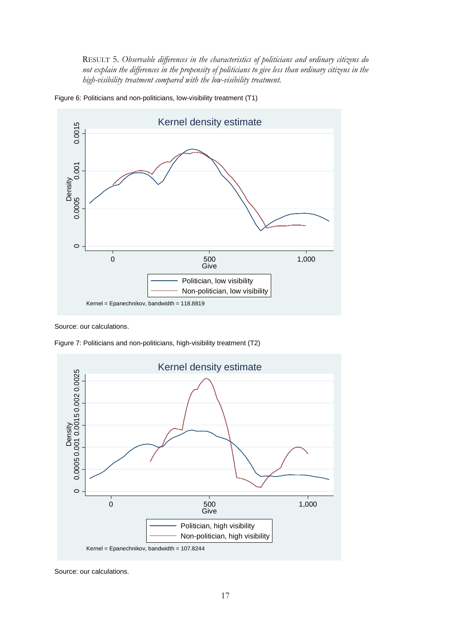RESULT 5. *Observable differences in the characteristics of politicians and ordinary citizens do not explain the differences in the propensity of politicians to give less than ordinary citizens in the high-visibility treatment compared with the low-visibility treatment.*





Source: our calculations.

Figure 7: Politicians and non-politicians, high-visibility treatment (T2)

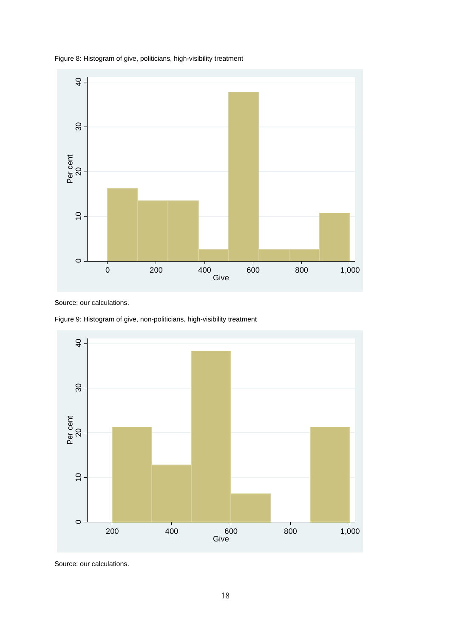

Figure 8: Histogram of give, politicians, high-visibility treatment

Source: our calculations.

Figure 9: Histogram of give, non-politicians, high-visibility treatment

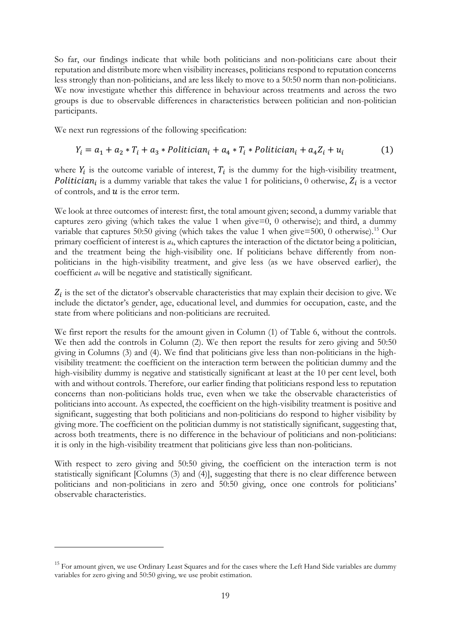So far, our findings indicate that while both politicians and non-politicians care about their reputation and distribute more when visibility increases, politicians respond to reputation concerns less strongly than non-politicians, and are less likely to move to a 50:50 norm than non-politicians. We now investigate whether this difference in behaviour across treatments and across the two groups is due to observable differences in characteristics between politician and non-politician participants.

We next run regressions of the following specification:

$$
Y_i = a_1 + a_2 \cdot T_i + a_3 \cdot \text{Politician}_i + a_4 \cdot T_i \cdot \text{Politician}_i + a_4 Z_i + u_i \tag{1}
$$

where  $Y_i$  is the outcome variable of interest,  $T_i$  is the dummy for the high-visibility treatment, **Politician** is a dummy variable that takes the value 1 for politicians, 0 otherwise,  $Z_i$  is a vector of controls, and  $u$  is the error term.

We look at three outcomes of interest: first, the total amount given; second, a dummy variable that captures zero giving (which takes the value 1 when give=0, 0 otherwise); and third, a dummy variable that captures 50:50 giving (which takes the value 1 when give=500, 0 otherwise).<sup>[15](#page-20-0)</sup> Our primary coefficient of interest is *a*4, which captures the interaction of the dictator being a politician, and the treatment being the high-visibility one. If politicians behave differently from nonpoliticians in the high-visibility treatment, and give less (as we have observed earlier), the coefficient *a*<sup>4</sup> will be negative and statistically significant.

 $Z_i$  is the set of the dictator's observable characteristics that may explain their decision to give. We include the dictator's gender, age, educational level, and dummies for occupation, caste, and the state from where politicians and non-politicians are recruited.

We first report the results for the amount given in Column (1) of Table 6, without the controls. We then add the controls in Column (2). We then report the results for zero giving and 50:50 giving in Columns (3) and (4). We find that politicians give less than non-politicians in the highvisibility treatment: the coefficient on the interaction term between the politician dummy and the high-visibility dummy is negative and statistically significant at least at the 10 per cent level, both with and without controls. Therefore, our earlier finding that politicians respond less to reputation concerns than non-politicians holds true, even when we take the observable characteristics of politicians into account. As expected, the coefficient on the high-visibility treatment is positive and significant, suggesting that both politicians and non-politicians do respond to higher visibility by giving more. The coefficient on the politician dummy is not statistically significant, suggesting that, across both treatments, there is no difference in the behaviour of politicians and non-politicians: it is only in the high-visibility treatment that politicians give less than non-politicians.

With respect to zero giving and 50:50 giving, the coefficient on the interaction term is not statistically significant [Columns (3) and (4)], suggesting that there is no clear difference between politicians and non-politicians in zero and 50:50 giving, once one controls for politicians' observable characteristics.

<span id="page-20-0"></span><sup>&</sup>lt;sup>15</sup> For amount given, we use Ordinary Least Squares and for the cases where the Left Hand Side variables are dummy variables for zero giving and 50:50 giving, we use probit estimation.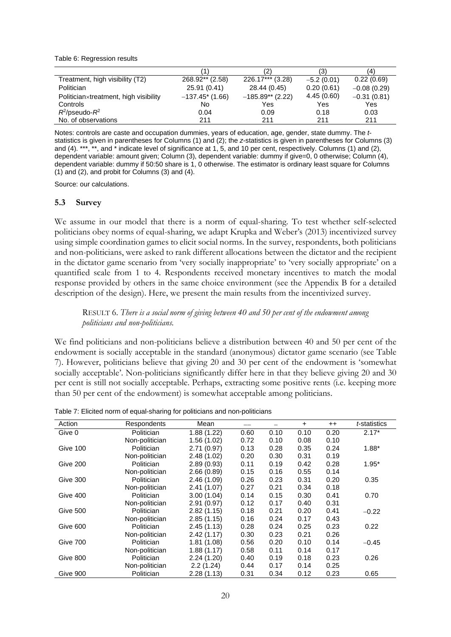Table 6: Regression results

|                                       |                    |                    | (3)          | 4)            |
|---------------------------------------|--------------------|--------------------|--------------|---------------|
| Treatment, high visibility (T2)       | 268.92** (2.58)    | 226.17*** (3.28)   | $-5.2(0.01)$ | 0.22(0.69)    |
| Politician                            | 25.91 (0.41)       | 28.44 (0.45)       | 0.20(0.61)   | $-0.08(0.29)$ |
| Politician×treatment, high visibility | $-137.45$ * (1.66) | $-185.89**$ (2.22) | 4.45(0.60)   | $-0.31(0.81)$ |
| Controls                              | No                 | Yes                | Yes          | Yes           |
| $R^2$ /pseudo- $R^2$                  | 0.04               | 0.09               | 0.18         | 0.03          |
| No. of observations                   | 211                | 211                | 211          | 211           |

Notes: controls are caste and occupation dummies, years of education, age, gender, state dummy. The *t*statistics is given in parentheses for Columns (1) and (2); the *z*-statistics is given in parentheses for Columns (3) and (4). \*\*\*, \*\*, and \* indicate level of significance at 1, 5, and 10 per cent, respectively. Columns (1) and (2), dependent variable: amount given; Column (3), dependent variable: dummy if give=0, 0 otherwise; Column (4), dependent variable: dummy if 50:50 share is 1, 0 otherwise. The estimator is ordinary least square for Columns (1) and (2), and probit for Columns (3) and (4).

Source: our calculations.

#### **5.3 Survey**

We assume in our model that there is a norm of equal-sharing. To test whether self-selected politicians obey norms of equal-sharing, we adapt Krupka and Weber's (2013) incentivized survey using simple coordination games to elicit social norms. In the survey, respondents, both politicians and non-politicians, were asked to rank different allocations between the dictator and the recipient in the dictator game scenario from 'very socially inappropriate' to 'very socially appropriate' on a quantified scale from 1 to 4. Respondents received monetary incentives to match the modal response provided by others in the same choice environment (see the Appendix B for a detailed description of the design). Here, we present the main results from the incentivized survey.

#### RESULT 6. *There is a social norm of giving between 40 and 50 per cent of the endowment among politicians and non-politicians.*

We find politicians and non-politicians believe a distribution between 40 and 50 per cent of the endowment is socially acceptable in the standard (anonymous) dictator game scenario (see Table 7). However, politicians believe that giving 20 and 30 per cent of the endowment is 'somewhat socially acceptable'. Non-politicians significantly differ here in that they believe giving 20 and 30 per cent is still not socially acceptable. Perhaps, extracting some positive rents (i.e. keeping more than 50 per cent of the endowment) is somewhat acceptable among politicians.

| Action   | Respondents       | Mean        |      |      | $\ddot{}$ | $^{\mathrm{+}}$ | <i>t</i> -statistics |
|----------|-------------------|-------------|------|------|-----------|-----------------|----------------------|
| Give 0   | Politician        | 1.88(1.22)  | 0.60 | 0.10 | 0.10      | 0.20            | $2.17*$              |
|          | Non-politician    | 1.56(1.02)  | 0.72 | 0.10 | 0.08      | 0.10            |                      |
| Give 100 | <b>Politician</b> | 2.71(0.97)  | 0.13 | 0.28 | 0.35      | 0.24            | $1.88*$              |
|          | Non-politician    | 2.48(1.02)  | 0.20 | 0.30 | 0.31      | 0.19            |                      |
| Give 200 | Politician        | 2.89(0.93)  | 0.11 | 0.19 | 0.42      | 0.28            | $1.95*$              |
|          | Non-politician    | 2.66(0.89)  | 0.15 | 0.16 | 0.55      | 0.14            |                      |
| Give 300 | Politician        | 2.46(1.09)  | 0.26 | 0.23 | 0.31      | 0.20            | 0.35                 |
|          | Non-politician    | 2.41 (1.07) | 0.27 | 0.21 | 0.34      | 0.18            |                      |
| Give 400 | <b>Politician</b> | 3.00(1.04)  | 0.14 | 0.15 | 0.30      | 0.41            | 0.70                 |
|          | Non-politician    | 2.91(0.97)  | 0.12 | 0.17 | 0.40      | 0.31            |                      |
| Give 500 | Politician        | 2.82(1.15)  | 0.18 | 0.21 | 0.20      | 0.41            | $-0.22$              |
|          | Non-politician    | 2.85(1.15)  | 0.16 | 0.24 | 0.17      | 0.43            |                      |
| Give 600 | Politician        | 2.45(1.13)  | 0.28 | 0.24 | 0.25      | 0.23            | 0.22                 |
|          | Non-politician    | 2.42(1.17)  | 0.30 | 0.23 | 0.21      | 0.26            |                      |
| Give 700 | <b>Politician</b> | 1.81 (1.08) | 0.56 | 0.20 | 0.10      | 0.14            | $-0.45$              |
|          | Non-politician    | 1.88(1.17)  | 0.58 | 0.11 | 0.14      | 0.17            |                      |
| Give 800 | Politician        | 2.24(1.20)  | 0.40 | 0.19 | 0.18      | 0.23            | 0.26                 |
|          | Non-politician    | 2.2(1.24)   | 0.44 | 0.17 | 0.14      | 0.25            |                      |
| Give 900 | Politician        | 2.28(1.13)  | 0.31 | 0.34 | 0.12      | 0.23            | 0.65                 |

Table 7: Elicited norm of equal-sharing for politicians and non-politicians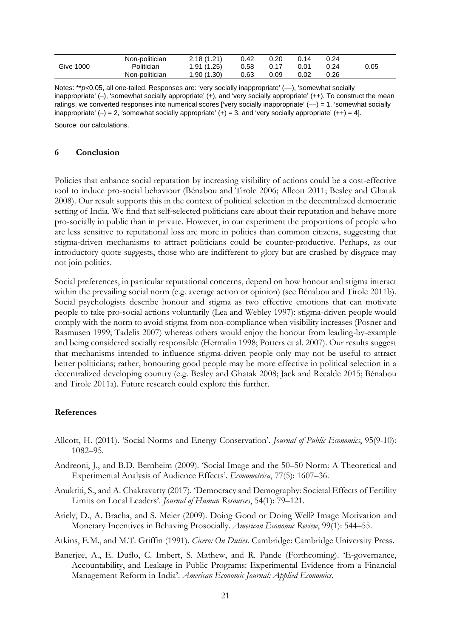|                  | Non-politician | 2.18(1.21) | 0.42 | 0.20 |      | 0.24 |      |  |
|------------------|----------------|------------|------|------|------|------|------|--|
| <b>Give 1000</b> | Politician     | 1.91(1.25) | 0.58 | 0.17 | 0.01 | 0.24 | 0.05 |  |
|                  | Non-politician | 1.90(1.30) | 0.63 | 0.09 | 0.02 | 0.26 |      |  |

Notes: \*\*p<0.05, all one-tailed. Responses are: 'very socially inappropriate' (--), 'somewhat socially inappropriate' (−), 'somewhat socially appropriate' (+), and 'very socially appropriate' (++). To construct the mean ratings, we converted responses into numerical scores ['very socially inappropriate' (−−) = 1, 'somewhat socially inappropriate' (-) = 2, 'somewhat socially appropriate' (+) = 3, and 'very socially appropriate' (++) = 4].

Source: our calculations.

#### **6 Conclusion**

Policies that enhance social reputation by increasing visibility of actions could be a cost-effective tool to induce pro-social behaviour (Bénabou and Tirole 2006; Allcott 2011; Besley and Ghatak 2008). Our result supports this in the context of political selection in the decentralized democratic setting of India. We find that self-selected politicians care about their reputation and behave more pro-socially in public than in private. However, in our experiment the proportions of people who are less sensitive to reputational loss are more in politics than common citizens, suggesting that stigma-driven mechanisms to attract politicians could be counter-productive. Perhaps, as our introductory quote suggests, those who are indifferent to glory but are crushed by disgrace may not join politics.

Social preferences, in particular reputational concerns, depend on how honour and stigma interact within the prevailing social norm (e.g. average action or opinion) (see Bénabou and Tirole 2011b). Social psychologists describe honour and stigma as two effective emotions that can motivate people to take pro-social actions voluntarily (Lea and Webley 1997): stigma-driven people would comply with the norm to avoid stigma from non-compliance when visibility increases (Posner and Rasmusen 1999; Tadelis 2007) whereas others would enjoy the honour from leading-by-example and being considered socially responsible (Hermalin 1998; Potters et al. 2007). Our results suggest that mechanisms intended to influence stigma-driven people only may not be useful to attract better politicians; rather, honouring good people may be more effective in political selection in a decentralized developing country (e.g. Besley and Ghatak 2008; Jack and Recalde 2015; Bénabou and Tirole 2011a). Future research could explore this further.

#### **References**

- Allcott, H. (2011). 'Social Norms and Energy Conservation'. *Journal of Public Economics*, 95(9-10): 1082–95.
- Andreoni, J., and B.D. Bernheim (2009). 'Social Image and the 50–50 Norm: A Theoretical and Experimental Analysis of Audience Effects'. *Econometrica*, 77(5): 1607–36.
- Anukriti, S., and A. Chakravarty (2017). 'Democracy and Demography: Societal Effects of Fertility Limits on Local Leaders'. *Journal of Human Resources*, 54(1): 79–121.
- Ariely, D., A. Bracha, and S. Meier (2009). Doing Good or Doing Well? Image Motivation and Monetary Incentives in Behaving Prosocially. *American Economic Review*, 99(1): 544–55.

Atkins, E.M., and M.T. Griffin (1991). *Cicero: On Duties*. Cambridge: Cambridge University Press.

Banerjee, A., E. Duflo, C. Imbert, S. Mathew, and R. Pande (Forthcoming). 'E-governance, Accountability, and Leakage in Public Programs: Experimental Evidence from a Financial Management Reform in India'. *American Economic Journal: Applied Economics*.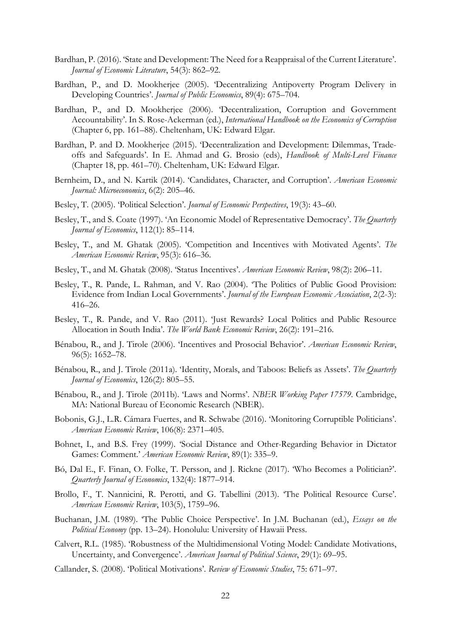- Bardhan, P. (2016). 'State and Development: The Need for a Reappraisal of the Current Literature'. *Journal of Economic Literature*, 54(3): 862–92.
- Bardhan, P., and D. Mookherjee (2005). 'Decentralizing Antipoverty Program Delivery in Developing Countries'. *Journal of Public Economics*, 89(4): 675–704.
- Bardhan, P., and D. Mookherjee (2006). 'Decentralization, Corruption and Government Accountability'. In S. Rose-Ackerman (ed.), *International Handbook on the Economics of Corruption* (Chapter 6, pp. 161–88). Cheltenham, UK: Edward Elgar.
- Bardhan, P. and D. Mookherjee (2015). 'Decentralization and Development: Dilemmas, Tradeoffs and Safeguards'. In E. Ahmad and G. Brosio (eds), *Handbook of Multi-Level Finance* (Chapter 18, pp. 461–70). Cheltenham, UK: Edward Elgar.
- Bernheim, D., and N. Kartik (2014). 'Candidates, Character, and Corruption'. *American Economic Journal: Microeconomics*, 6(2): 205–46.
- Besley, T. (2005). 'Political Selection'. *Journal of Economic Perspectives*, 19(3): 43–60.
- Besley, T., and S. Coate (1997). 'An Economic Model of Representative Democracy'. *The Quarterly Journal of Economics*, 112(1): 85–114.
- Besley, T., and M. Ghatak (2005). 'Competition and Incentives with Motivated Agents'. *The American Economic Review*, 95(3): 616–36.
- Besley, T., and M. Ghatak (2008). 'Status Incentives'. *American Economic Review*, 98(2): 206–11.
- Besley, T., R. Pande, L. Rahman, and V. Rao (2004). 'The Politics of Public Good Provision: Evidence from Indian Local Governments'. *Journal of the European Economic Association*, 2(2-3): 416–26.
- Besley, T., R. Pande, and V. Rao (2011). 'Just Rewards? Local Politics and Public Resource Allocation in South India'. *The World Bank Economic Review*, 26(2): 191–216.
- Bénabou, R., and J. Tirole (2006). 'Incentives and Prosocial Behavior'. *American Economic Review*, 96(5): 1652–78.
- Bénabou, R., and J. Tirole (2011a). 'Identity, Morals, and Taboos: Beliefs as Assets'. *The Quarterly Journal of Economics*, 126(2): 805–55.
- Bénabou, R., and J. Tirole (2011b). 'Laws and Norms'. *NBER Working Paper 17579*. Cambridge, MA: National Bureau of Economic Research (NBER).
- Bobonis, G.J., L.R. Cámara Fuertes, and R. Schwabe (2016). 'Monitoring Corruptible Politicians'. *American Economic Review*, 106(8): 2371–405.
- Bohnet, I., and B.S. Frey (1999). 'Social Distance and Other-Regarding Behavior in Dictator Games: Comment.' *American Economic Review*, 89(1): 335–9.
- Bó, Dal E., F. Finan, O. Folke, T. Persson, and J. Rickne (2017). 'Who Becomes a Politician?'. *Quarterly Journal of Economics*, 132(4): 1877–914.
- Brollo, F., T. Nannicini, R. Perotti, and G. Tabellini (2013). 'The Political Resource Curse'. *American Economic Review*, 103(5), 1759–96.
- Buchanan, J.M. (1989). 'The Public Choice Perspective'. In J.M. Buchanan (ed.), *Essays on the Political Economy* (pp. 13–24). Honolulu: University of Hawaii Press.
- Calvert, R.L. (1985). 'Robustness of the Multidimensional Voting Model: Candidate Motivations, Uncertainty, and Convergence'. *American Journal of Political Science*, 29(1): 69–95.
- Callander, S. (2008). 'Political Motivations'. *Review of Economic Studies*, 75: 671–97.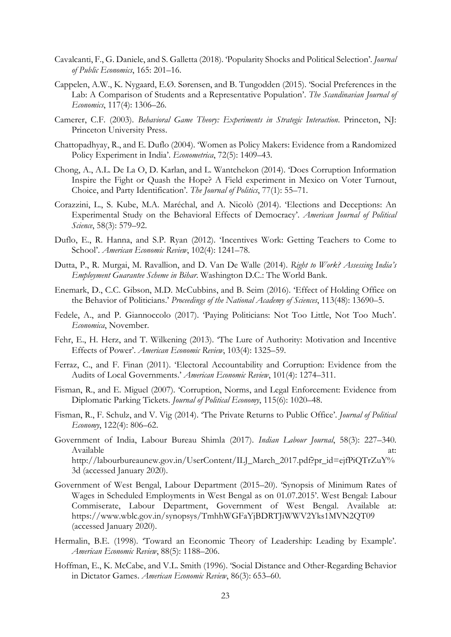- Cavalcanti, F., G. Daniele, and S. Galletta (2018). 'Popularity Shocks and Political Selection'. *Journal of Public Economics*, 165: 201–16.
- Cappelen, A.W., K. Nygaard, E.Ø. Sørensen, and B. Tungodden (2015). 'Social Preferences in the Lab: A Comparison of Students and a Representative Population'. *The Scandinavian Journal of Economics*, 117(4): 1306–26.
- Camerer, C.F. (2003). *Behavioral Game Theory: Experiments in Strategic Interaction*. Princeton, NJ: Princeton University Press.
- Chattopadhyay, R., and E. Duflo (2004). 'Women as Policy Makers: Evidence from a Randomized Policy Experiment in India'. *Econometrica*, 72(5): 1409–43.
- Chong, A., A.L. De La O, D. Karlan, and L. Wantchekon (2014). 'Does Corruption Information Inspire the Fight or Quash the Hope? A Field experiment in Mexico on Voter Turnout, Choice, and Party Identification'. *The Journal of Politics*, 77(1): 55–71.
- Corazzini, L., S. Kube, M.A. Maréchal, and A. Nicolò (2014). 'Elections and Deceptions: An Experimental Study on the Behavioral Effects of Democracy'. *American Journal of Political Science*, 58(3): 579–92.
- Duflo, E., R. Hanna, and S.P. Ryan (2012). 'Incentives Work: Getting Teachers to Come to School'. *American Economic Review*, 102(4): 1241–78.
- Dutta, P., R. Murgai, M. Ravallion, and D. Van De Walle (2014). *Right to Work? Assessing India's Employment Guarantee Scheme in Bihar*. Washington D.C.: The World Bank.
- Enemark, D., C.C. Gibson, M.D. McCubbins, and B. Seim (2016). 'Effect of Holding Office on the Behavior of Politicians.' *Proceedings of the National Academy of Sciences*, 113(48): 13690–5.
- Fedele, A., and P. Giannoccolo (2017). 'Paying Politicians: Not Too Little, Not Too Much'. *Economica*, November.
- Fehr, E., H. Herz, and T. Wilkening (2013). 'The Lure of Authority: Motivation and Incentive Effects of Power'. *American Economic Review*, 103(4): 1325–59.
- Ferraz, C., and F. Finan (2011). 'Electoral Accountability and Corruption: Evidence from the Audits of Local Governments.' *American Economic Review*, 101(4): 1274–311.
- Fisman, R., and E. Miguel (2007). 'Corruption, Norms, and Legal Enforcement: Evidence from Diplomatic Parking Tickets. *Journal of Political Economy*, 115(6): 1020–48.
- Fisman, R., F. Schulz, and V. Vig (2014). 'The Private Returns to Public Office'. *Journal of Political Economy*, 122(4): 806–62.
- Government of India, Labour Bureau Shimla (2017). *Indian Labour Journal*, 58(3): 227–340. Available at:  $\alpha$ [http://labourbureaunew.gov.in/UserContent/ILJ\\_March\\_2017.pdf?pr\\_id=ejfPiQTrZuY%](http://labourbureaunew.gov.in/UserContent/ILJ_March_2017.pdf?pr_id=ejfPiQTrZuY%3d) [3d](http://labourbureaunew.gov.in/UserContent/ILJ_March_2017.pdf?pr_id=ejfPiQTrZuY%3d) (accessed January 2020).
- Government of West Bengal, Labour Department (2015–20). 'Synopsis of Minimum Rates of Wages in Scheduled Employments in West Bengal as on 01.07.2015'. West Bengal: Labour Commiserate, Labour Department, Government of West Bengal. Available at: <https://www.wblc.gov.in/synopsys/TmhhWGFaYjBDRTJiWWV2Yks1MVN2QT09> (accessed January 2020).
- Hermalin, B.E. (1998). 'Toward an Economic Theory of Leadership: Leading by Example'. *American Economic Review*, 88(5): 1188–206.
- Hoffman, E., K. McCabe, and V.L. Smith (1996). 'Social Distance and Other-Regarding Behavior in Dictator Games. *American Economic Review*, 86(3): 653–60.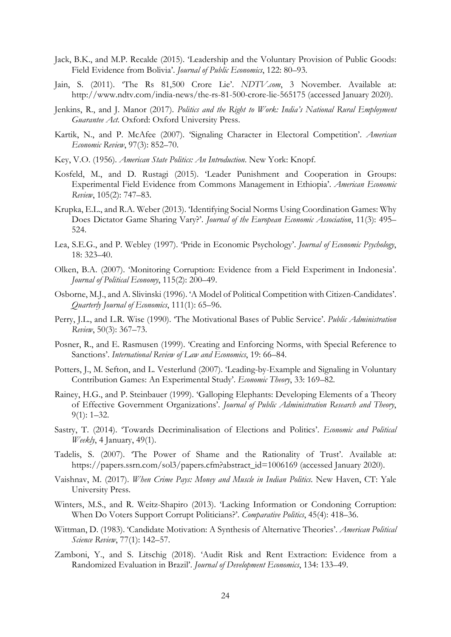- Jack, B.K., and M.P. Recalde (2015). 'Leadership and the Voluntary Provision of Public Goods: Field Evidence from Bolivia'. *Journal of Public Economics*, 122: 80–93.
- Jain, S. (2011). 'The Rs 81,500 Crore Lie'. *NDTV.com*, 3 November. Available at: <http://www.ndtv.com/india-news/the-rs-81-500-crore-lie-565175> (accessed January 2020).
- Jenkins, R., and J. Manor (2017). *Politics and the Right to Work: India's National Rural Employment Guarantee Act*. Oxford: Oxford University Press.
- Kartik, N., and P. McAfee (2007). 'Signaling Character in Electoral Competition'. *American Economic Review*, 97(3): 852–70.
- Key, V.O. (1956). *American State Politics: An Introduction*. New York: Knopf.
- Kosfeld, M., and D. Rustagi (2015). 'Leader Punishment and Cooperation in Groups: Experimental Field Evidence from Commons Management in Ethiopia'. *American Economic Review*, 105(2): 747–83.
- Krupka, E.L., and R.A. Weber (2013). 'Identifying Social Norms Using Coordination Games: Why Does Dictator Game Sharing Vary?'. *Journal of the European Economic Association*, 11(3): 495– 524.
- Lea, S.E.G., and P. Webley (1997). 'Pride in Economic Psychology'. *Journal of Economic Psychology*, 18: 323–40.
- Olken, B.A. (2007). 'Monitoring Corruption: Evidence from a Field Experiment in Indonesia'. *Journal of Political Economy*, 115(2): 200–49.
- Osborne, M.J., and A. Slivinski (1996). 'A Model of Political Competition with Citizen-Candidates'. *Quarterly Journal of Economics*, 111(1): 65–96.
- Perry, J.L., and L.R. Wise (1990). 'The Motivational Bases of Public Service'. *Public Administration Review*, 50(3): 367–73.
- Posner, R., and E. Rasmusen (1999). 'Creating and Enforcing Norms, with Special Reference to Sanctions'. *International Review of Law and Economics*, 19: 66–84.
- Potters, J., M. Sefton, and L. Vesterlund (2007). 'Leading-by-Example and Signaling in Voluntary Contribution Games: An Experimental Study'. *Economic Theory*, 33: 169–82.
- Rainey, H.G., and P. Steinbauer (1999). 'Galloping Elephants: Developing Elements of a Theory of Effective Government Organizations'. *Journal of Public Administration Research and Theory*, 9(1): 1–32.
- Sastry, T. (2014). 'Towards Decriminalisation of Elections and Politics'. *Economic and Political Weekly*, 4 January, 49(1).
- Tadelis, S. (2007). 'The Power of Shame and the Rationality of Trust'. Available at: [https://papers.ssrn.com/sol3/papers.cfm?abstract\\_id=1006169](https://papers.ssrn.com/sol3/papers.cfm?abstract_id=1006169) (accessed January 2020).
- Vaishnav, M. (2017). *When Crime Pays: Money and Muscle in Indian Politics*. New Haven, CT: Yale University Press.
- Winters, M.S., and R. Weitz-Shapiro (2013). 'Lacking Information or Condoning Corruption: When Do Voters Support Corrupt Politicians?'. *Comparative Politics*, 45(4): 418–36.
- Wittman, D. (1983). 'Candidate Motivation: A Synthesis of Alternative Theories'. *American Political Science Review*, 77(1): 142–57.
- Zamboni, Y., and S. Litschig (2018). 'Audit Risk and Rent Extraction: Evidence from a Randomized Evaluation in Brazil'. *Journal of Development Economics*, 134: 133–49.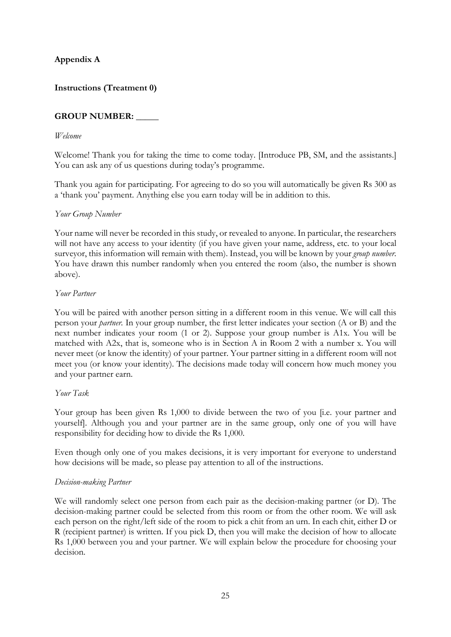# **Appendix A**

# **Instructions (Treatment 0)**

## **GROUP NUMBER: \_\_\_\_\_**

#### *Welcome*

Welcome! Thank you for taking the time to come today. [Introduce PB, SM, and the assistants.] You can ask any of us questions during today's programme.

Thank you again for participating. For agreeing to do so you will automatically be given Rs 300 as a 'thank you' payment. Anything else you earn today will be in addition to this.

#### *Your Group Number*

Your name will never be recorded in this study, or revealed to anyone. In particular, the researchers will not have any access to your identity (if you have given your name, address, etc. to your local surveyor, this information will remain with them). Instead, you will be known by your *group number*. You have drawn this number randomly when you entered the room (also, the number is shown above).

#### *Your Partner*

You will be paired with another person sitting in a different room in this venue. We will call this person your *partner.* In your group number, the first letter indicates your section (A or B) and the next number indicates your room (1 or 2). Suppose your group number is A1x. You will be matched with A2x, that is, someone who is in Section A in Room 2 with a number x. You will never meet (or know the identity) of your partner. Your partner sitting in a different room will not meet you (or know your identity). The decisions made today will concern how much money you and your partner earn.

#### *Your Task*

Your group has been given Rs 1,000 to divide between the two of you [i.e. your partner and yourself]. Although you and your partner are in the same group, only one of you will have responsibility for deciding how to divide the Rs 1,000.

Even though only one of you makes decisions, it is very important for everyone to understand how decisions will be made, so please pay attention to all of the instructions.

#### *Decision-making Partner*

We will randomly select one person from each pair as the decision-making partner (or D). The decision-making partner could be selected from this room or from the other room. We will ask each person on the right/left side of the room to pick a chit from an urn. In each chit, either D or R (recipient partner) is written. If you pick D, then you will make the decision of how to allocate Rs 1,000 between you and your partner. We will explain below the procedure for choosing your decision.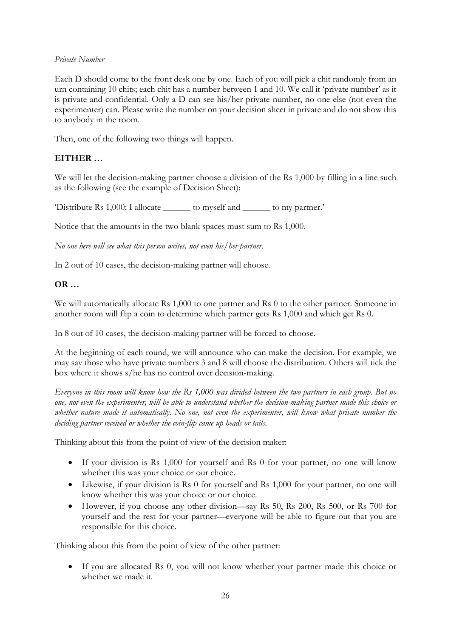#### *Private Number*

Each D should come to the front desk one by one. Each of you will pick a chit randomly from an urn containing 10 chits; each chit has a number between 1 and 10. We call it 'private number' as it is private and confidential. Only a D can see his/her private number, no one else (not even the experimenter) can. Please write the number on your decision sheet in private and do not show this to anybody in the room.

Then, one of the following two things will happen.

# **EITHER …**

We will let the decision-making partner choose a division of the Rs 1,000 by filling in a line such as the following (see the example of Decision Sheet):

'Distribute Rs 1,000: I allocate \_\_\_\_\_\_ to myself and \_\_\_\_\_\_ to my partner.'

Notice that the amounts in the two blank spaces must sum to Rs 1,000.

*No one here will see what this person writes, not even his/her partner.*

In 2 out of 10 cases, the decision-making partner will choose.

# **OR …**

We will automatically allocate Rs 1,000 to one partner and Rs 0 to the other partner. Someone in another room will flip a coin to determine which partner gets Rs 1,000 and which get Rs 0.

In 8 out of 10 cases, the decision-making partner will be forced to choose.

At the beginning of each round, we will announce who can make the decision. For example, we may say those who have private numbers 3 and 8 will choose the distribution. Others will tick the box where it shows s/he has no control over decision-making.

*Everyone in this room will know how the Rs 1,000 was divided between the two partners in each group. But no one, not even the experimenter, will be able to understand whether the decision-making partner made this choice or whether nature made it automatically. No one, not even the experimenter, will know what private number the deciding partner received or whether the coin-flip came up heads or tails.*

Thinking about this from the point of view of the decision maker:

- If your division is Rs 1,000 for yourself and Rs 0 for your partner, no one will know whether this was your choice or our choice.
- Likewise, if your division is Rs 0 for yourself and Rs 1,000 for your partner, no one will know whether this was your choice or our choice.
- However, if you choose any other division—say Rs 50, Rs 200, Rs 500, or Rs 700 for yourself and the rest for your partner—everyone will be able to figure out that you are responsible for this choice.

Thinking about this from the point of view of the other partner:

• If you are allocated Rs 0, you will not know whether your partner made this choice or whether we made it.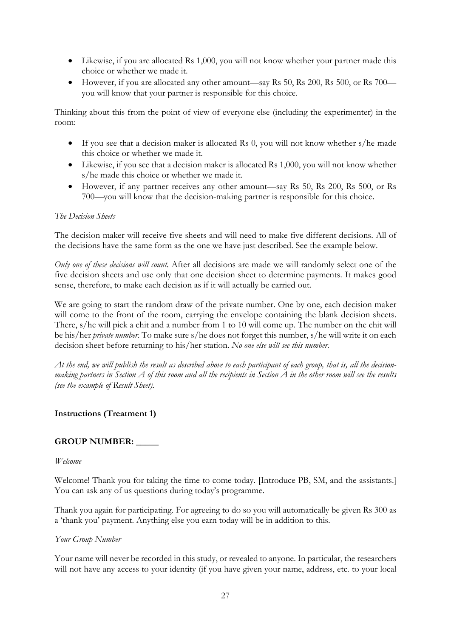- Likewise, if you are allocated Rs 1,000, you will not know whether your partner made this choice or whether we made it.
- However, if you are allocated any other amount—say Rs 50, Rs 200, Rs 500, or Rs 700 you will know that your partner is responsible for this choice.

Thinking about this from the point of view of everyone else (including the experimenter) in the room:

- If you see that a decision maker is allocated Rs 0, you will not know whether s/he made this choice or whether we made it.
- Likewise, if you see that a decision maker is allocated Rs 1,000, you will not know whether s/he made this choice or whether we made it.
- However, if any partner receives any other amount—say Rs 50, Rs 200, Rs 500, or Rs 700—you will know that the decision-making partner is responsible for this choice.

### *The Decision Sheets*

The decision maker will receive five sheets and will need to make five different decisions. All of the decisions have the same form as the one we have just described. See the example below.

*Only one of these decisions will count.* After all decisions are made we will randomly select one of the five decision sheets and use only that one decision sheet to determine payments. It makes good sense, therefore, to make each decision as if it will actually be carried out.

We are going to start the random draw of the private number. One by one, each decision maker will come to the front of the room, carrying the envelope containing the blank decision sheets. There, s/he will pick a chit and a number from 1 to 10 will come up. The number on the chit will be his/her *private number*. To make sure s/he does not forget this number, s/he will write it on each decision sheet before returning to his/her station. *No one else will see this number.*

*At the end, we will publish the result as described above to each participant of each group, that is, all the decisionmaking partners in Section A of this room and all the recipients in Section A in the other room will see the results (see the example of Result Sheet).* 

# **Instructions (Treatment 1)**

#### **GROUP NUMBER: \_\_\_\_\_**

#### *Welcome*

Welcome! Thank you for taking the time to come today. [Introduce PB, SM, and the assistants.] You can ask any of us questions during today's programme.

Thank you again for participating. For agreeing to do so you will automatically be given Rs 300 as a 'thank you' payment. Anything else you earn today will be in addition to this.

#### *Your Group Number*

Your name will never be recorded in this study, or revealed to anyone. In particular, the researchers will not have any access to your identity (if you have given your name, address, etc. to your local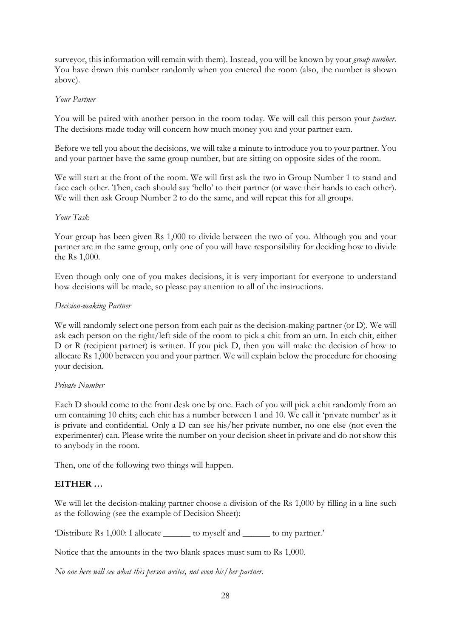surveyor, this information will remain with them). Instead, you will be known by your *group number*. You have drawn this number randomly when you entered the room (also, the number is shown above).

#### *Your Partner*

You will be paired with another person in the room today. We will call this person your *partner*. The decisions made today will concern how much money you and your partner earn.

Before we tell you about the decisions, we will take a minute to introduce you to your partner. You and your partner have the same group number, but are sitting on opposite sides of the room.

We will start at the front of the room. We will first ask the two in Group Number 1 to stand and face each other. Then, each should say 'hello' to their partner (or wave their hands to each other). We will then ask Group Number 2 to do the same, and will repeat this for all groups.

### *Your Task*

Your group has been given Rs 1,000 to divide between the two of you. Although you and your partner are in the same group, only one of you will have responsibility for deciding how to divide the Rs 1,000.

Even though only one of you makes decisions, it is very important for everyone to understand how decisions will be made, so please pay attention to all of the instructions.

# *Decision-making Partner*

We will randomly select one person from each pair as the decision-making partner (or D). We will ask each person on the right/left side of the room to pick a chit from an urn. In each chit, either D or R (recipient partner) is written. If you pick D, then you will make the decision of how to allocate Rs 1,000 between you and your partner. We will explain below the procedure for choosing your decision.

#### *Private Number*

Each D should come to the front desk one by one. Each of you will pick a chit randomly from an urn containing 10 chits; each chit has a number between 1 and 10. We call it 'private number' as it is private and confidential. Only a D can see his/her private number, no one else (not even the experimenter) can. Please write the number on your decision sheet in private and do not show this to anybody in the room.

Then, one of the following two things will happen.

# **EITHER …**

We will let the decision-making partner choose a division of the Rs 1,000 by filling in a line such as the following (see the example of Decision Sheet):

'Distribute Rs 1,000: I allocate \_\_\_\_\_\_ to myself and \_\_\_\_\_\_ to my partner.'

Notice that the amounts in the two blank spaces must sum to Rs 1,000.

*No one here will see what this person writes, not even his/her partner.*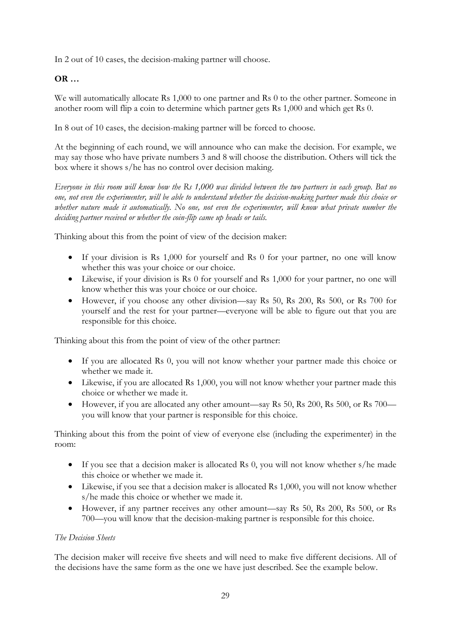In 2 out of 10 cases, the decision-making partner will choose.

# **OR …**

We will automatically allocate Rs 1,000 to one partner and Rs 0 to the other partner. Someone in another room will flip a coin to determine which partner gets Rs 1,000 and which get Rs 0.

In 8 out of 10 cases, the decision-making partner will be forced to choose.

At the beginning of each round, we will announce who can make the decision. For example, we may say those who have private numbers 3 and 8 will choose the distribution. Others will tick the box where it shows s/he has no control over decision making.

*Everyone in this room will know how the Rs 1,000 was divided between the two partners in each group. But no one, not even the experimenter, will be able to understand whether the decision-making partner made this choice or whether nature made it automatically. No one, not even the experimenter, will know what private number the deciding partner received or whether the coin-flip came up heads or tails.*

Thinking about this from the point of view of the decision maker:

- If your division is Rs 1,000 for yourself and Rs 0 for your partner, no one will know whether this was your choice or our choice.
- Likewise, if your division is Rs 0 for yourself and Rs 1,000 for your partner, no one will know whether this was your choice or our choice.
- However, if you choose any other division—say Rs 50, Rs 200, Rs 500, or Rs 700 for yourself and the rest for your partner—everyone will be able to figure out that you are responsible for this choice.

Thinking about this from the point of view of the other partner:

- If you are allocated Rs 0, you will not know whether your partner made this choice or whether we made it.
- Likewise, if you are allocated Rs 1,000, you will not know whether your partner made this choice or whether we made it.
- However, if you are allocated any other amount—say Rs 50, Rs 200, Rs 500, or Rs 700 you will know that your partner is responsible for this choice.

Thinking about this from the point of view of everyone else (including the experimenter) in the room:

- If you see that a decision maker is allocated Rs 0, you will not know whether s/he made this choice or whether we made it.
- Likewise, if you see that a decision maker is allocated Rs 1,000, you will not know whether s/he made this choice or whether we made it.
- However, if any partner receives any other amount—say Rs 50, Rs 200, Rs 500, or Rs 700—you will know that the decision-making partner is responsible for this choice.

#### *The Decision Sheets*

The decision maker will receive five sheets and will need to make five different decisions. All of the decisions have the same form as the one we have just described. See the example below.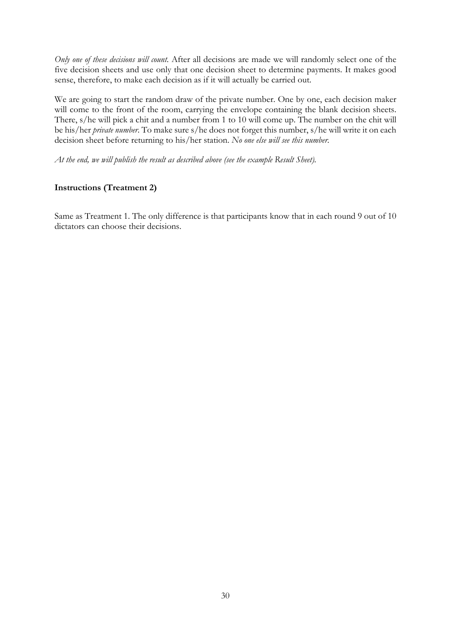*Only one of these decisions will count.* After all decisions are made we will randomly select one of the five decision sheets and use only that one decision sheet to determine payments. It makes good sense, therefore, to make each decision as if it will actually be carried out.

We are going to start the random draw of the private number. One by one, each decision maker will come to the front of the room, carrying the envelope containing the blank decision sheets. There, s/he will pick a chit and a number from 1 to 10 will come up. The number on the chit will be his/her *private number*. To make sure s/he does not forget this number, s/he will write it on each decision sheet before returning to his/her station. *No one else will see this number.*

*At the end, we will publish the result as described above (see the example Result Sheet).* 

### **Instructions (Treatment 2)**

Same as Treatment 1. The only difference is that participants know that in each round 9 out of 10 dictators can choose their decisions.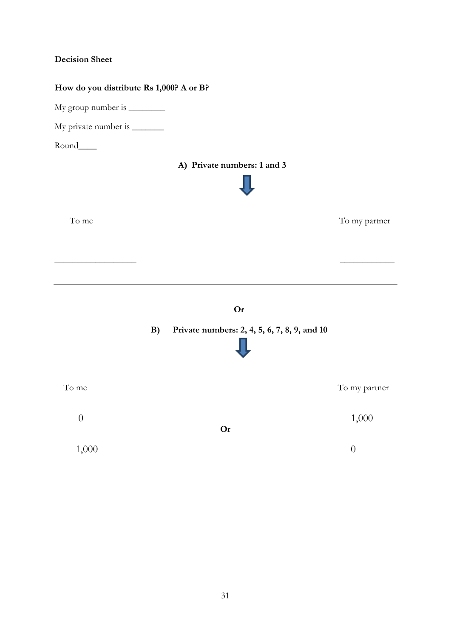# **Decision Sheet**

# **How do you distribute Rs 1,000? A or B?**

My group number is \_\_\_\_\_\_\_\_\_\_\_

My private number is \_\_\_\_\_\_\_

Round\_\_\_\_

# **A) Private numbers: 1 and 3**



To me To my partner

**Or**

\_\_\_\_\_\_\_\_\_\_\_\_\_\_\_\_\_\_ \_\_\_\_\_\_\_\_\_\_\_\_

# **B) Private numbers: 2, 4, 5, 6, 7, 8, 9, and 10**



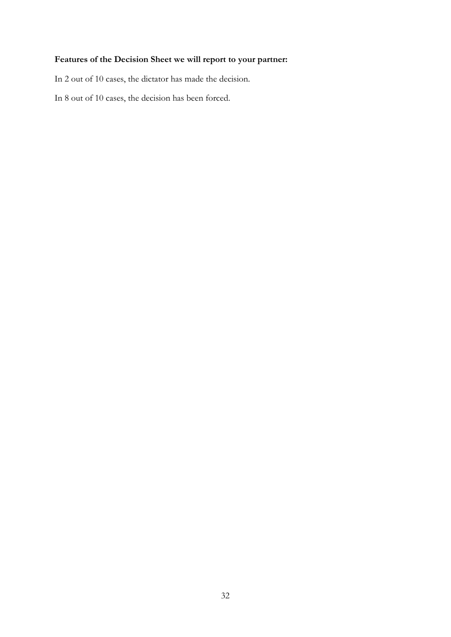# **Features of the Decision Sheet we will report to your partner:**

In 2 out of 10 cases, the dictator has made the decision.

In 8 out of 10 cases, the decision has been forced.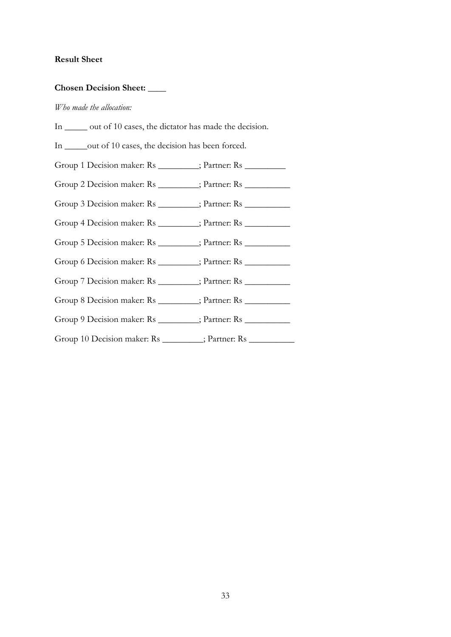# **Result Sheet**

# **Chosen Decision Sheet: \_\_\_\_**

#### *Who made the allocation:*

| In ______ out of 10 cases, the dictator has made the decision. |
|----------------------------------------------------------------|
| In ______ out of 10 cases, the decision has been forced.       |
| Group 1 Decision maker: Rs ________; Partner: Rs ________      |
| Group 2 Decision maker: Rs ________; Partner: Rs _________     |
| Group 3 Decision maker: Rs _________; Partner: Rs __________   |
| Group 4 Decision maker: Rs ________; Partner: Rs ________      |
| Group 5 Decision maker: Rs ________; Partner: Rs _________     |
| Group 6 Decision maker: Rs _______; Partner: Rs ________       |
| Group 7 Decision maker: Rs ________; Partner: Rs _________     |
| Group 8 Decision maker: Rs ________; Partner: Rs _________     |
| Group 9 Decision maker: Rs ________; Partner: Rs ________      |
| Group 10 Decision maker: Rs ________; Partner: Rs _________    |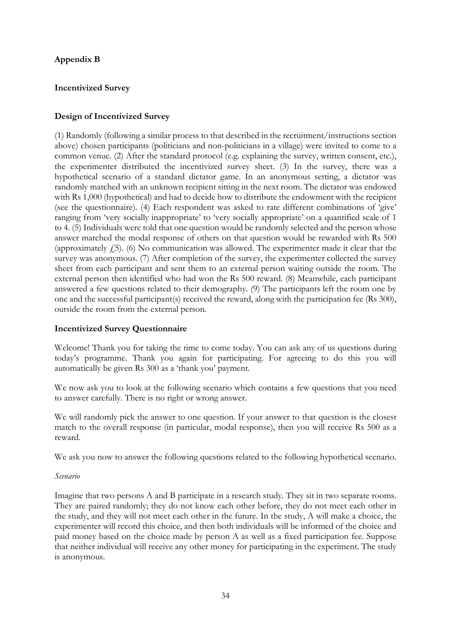# **Appendix B**

# **Incentivized Survey**

# **Design of Incentivized Survey**

(1) Randomly (following a similar process to that described in the recruitment/instructions section above) chosen participants (politicians and non-politicians in a village) were invited to come to a common venue. (2) After the standard protocol (e.g. explaining the survey, written consent, etc.), the experimenter distributed the incentivized survey sheet. (3) In the survey, there was a hypothetical scenario of a standard dictator game. In an anonymous setting, a dictator was randomly matched with an unknown recipient sitting in the next room. The dictator was endowed with Rs 1,000 (hypothetical) and had to decide how to distribute the endowment with the recipient (see the questionnaire). (4) Each respondent was asked to rate different combinations of 'give' ranging from 'very socially inappropriate' to 'very socially appropriate' on a quantified scale of 1 to 4. (5) Individuals were told that one question would be randomly selected and the person whose answer matched the modal response of others on that question would be rewarded with Rs 500 (approximately  $f(5)$ . (6) No communication was allowed. The experimenter made it clear that the survey was anonymous. (7) After completion of the survey, the experimenter collected the survey sheet from each participant and sent them to an external person waiting outside the room. The external person then identified who had won the Rs 500 reward. (8) Meanwhile, each participant answered a few questions related to their demography. (9) The participants left the room one by one and the successful participant(s) received the reward, along with the participation fee (Rs 300), outside the room from the external person.

# **Incentivized Survey Questionnaire**

Welcome! Thank you for taking the time to come today. You can ask any of us questions during today's programme. Thank you again for participating. For agreeing to do this you will automatically be given Rs 300 as a 'thank you' payment.

We now ask you to look at the following scenario which contains a few questions that you need to answer carefully. There is no right or wrong answer.

We will randomly pick the answer to one question. If your answer to that question is the closest match to the overall response (in particular, modal response), then you will receive Rs 500 as a reward.

We ask you now to answer the following questions related to the following hypothetical scenario.

#### *Scenario*

Imagine that two persons A and B participate in a research study. They sit in two separate rooms. They are paired randomly; they do not know each other before, they do not meet each other in the study, and they will not meet each other in the future. In the study, A will make a choice, the experimenter will record this choice, and then both individuals will be informed of the choice and paid money based on the choice made by person A as well as a fixed participation fee. Suppose that neither individual will receive any other money for participating in the experiment. The study is anonymous.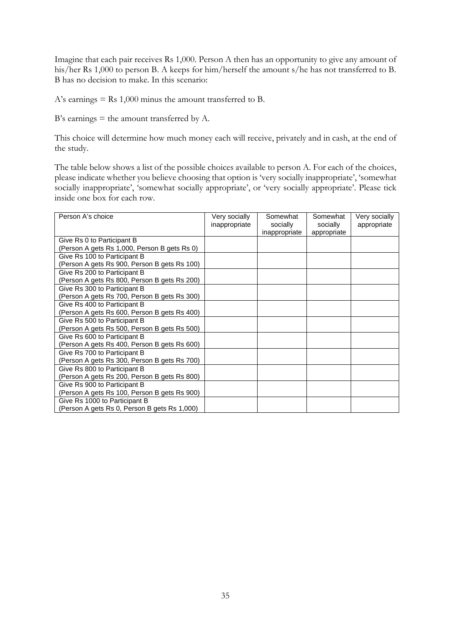Imagine that each pair receives Rs 1,000. Person A then has an opportunity to give any amount of his/her Rs 1,000 to person B. A keeps for him/herself the amount s/he has not transferred to B. B has no decision to make. In this scenario:

A's earnings  $=$  Rs 1,000 minus the amount transferred to B.

B's earnings  $=$  the amount transferred by A.

This choice will determine how much money each will receive, privately and in cash, at the end of the study.

The table below shows a list of the possible choices available to person A. For each of the choices, please indicate whether you believe choosing that option is 'very socially inappropriate', 'somewhat socially inappropriate', 'somewhat socially appropriate', or 'very socially appropriate'. Please tick inside one box for each row.

| Person A's choice                            | Very socially<br>inappropriate | Somewhat<br>socially | Somewhat<br>socially | Very socially<br>appropriate |
|----------------------------------------------|--------------------------------|----------------------|----------------------|------------------------------|
|                                              |                                | inappropriate        | appropriate          |                              |
| Give Rs 0 to Participant B                   |                                |                      |                      |                              |
| (Person A gets Rs 1,000, Person B gets Rs 0) |                                |                      |                      |                              |
| Give Rs 100 to Participant B                 |                                |                      |                      |                              |
| (Person A gets Rs 900, Person B gets Rs 100) |                                |                      |                      |                              |
| Give Rs 200 to Participant B                 |                                |                      |                      |                              |
| (Person A gets Rs 800, Person B gets Rs 200) |                                |                      |                      |                              |
| Give Rs 300 to Participant B                 |                                |                      |                      |                              |
| (Person A gets Rs 700, Person B gets Rs 300) |                                |                      |                      |                              |
| Give Rs 400 to Participant B                 |                                |                      |                      |                              |
| (Person A gets Rs 600, Person B gets Rs 400) |                                |                      |                      |                              |
| Give Rs 500 to Participant B                 |                                |                      |                      |                              |
| (Person A gets Rs 500, Person B gets Rs 500) |                                |                      |                      |                              |
| Give Rs 600 to Participant B                 |                                |                      |                      |                              |
| (Person A gets Rs 400, Person B gets Rs 600) |                                |                      |                      |                              |
| Give Rs 700 to Participant B                 |                                |                      |                      |                              |
| (Person A gets Rs 300, Person B gets Rs 700) |                                |                      |                      |                              |
| Give Rs 800 to Participant B                 |                                |                      |                      |                              |
| (Person A gets Rs 200, Person B gets Rs 800) |                                |                      |                      |                              |
| Give Rs 900 to Participant B                 |                                |                      |                      |                              |
| (Person A gets Rs 100, Person B gets Rs 900) |                                |                      |                      |                              |
| Give Rs 1000 to Participant B                |                                |                      |                      |                              |
| (Person A gets Rs 0, Person B gets Rs 1,000) |                                |                      |                      |                              |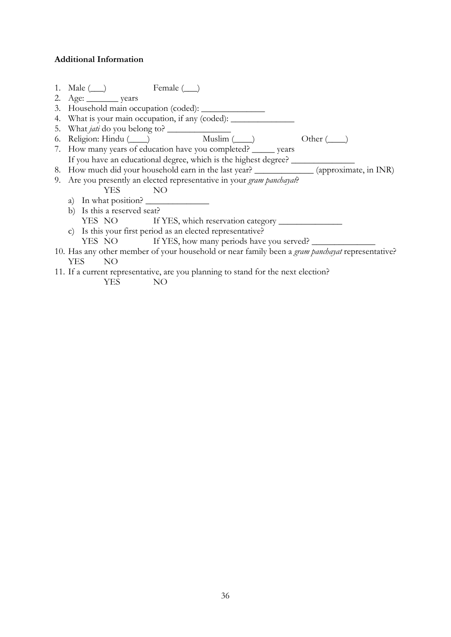# **Additional Information**

|                                                                                                 | 1. Male (__) Female (__)                                                                   |  |  |
|-------------------------------------------------------------------------------------------------|--------------------------------------------------------------------------------------------|--|--|
|                                                                                                 |                                                                                            |  |  |
|                                                                                                 |                                                                                            |  |  |
|                                                                                                 | 4. What is your main occupation, if any (coded): _______________________________           |  |  |
|                                                                                                 |                                                                                            |  |  |
|                                                                                                 | 6. Religion: Hindu (____) Muslim (____)<br>Other $(\_\_)$                                  |  |  |
|                                                                                                 | 7. How many years of education have you completed? ______ years                            |  |  |
|                                                                                                 | If you have an educational degree, which is the highest degree? ________________           |  |  |
|                                                                                                 | 8. How much did your household earn in the last year? ______________ (approximate, in INR) |  |  |
|                                                                                                 | 9. Are you presently an elected representative in your gram panchayat?                     |  |  |
|                                                                                                 | NO<br>YES.                                                                                 |  |  |
|                                                                                                 | a) In what position?                                                                       |  |  |
|                                                                                                 | b) Is this a reserved seat?                                                                |  |  |
|                                                                                                 |                                                                                            |  |  |
|                                                                                                 | c) Is this your first period as an elected representative?                                 |  |  |
|                                                                                                 | YES NO If YES, how many periods have you served?                                           |  |  |
| 10. Has any other member of your household or near family been a gram panchayat representative? |                                                                                            |  |  |
|                                                                                                 | YES<br>NO.                                                                                 |  |  |
| 11. If a current representative, are you planning to stand for the next election?               |                                                                                            |  |  |
|                                                                                                 |                                                                                            |  |  |

YES NO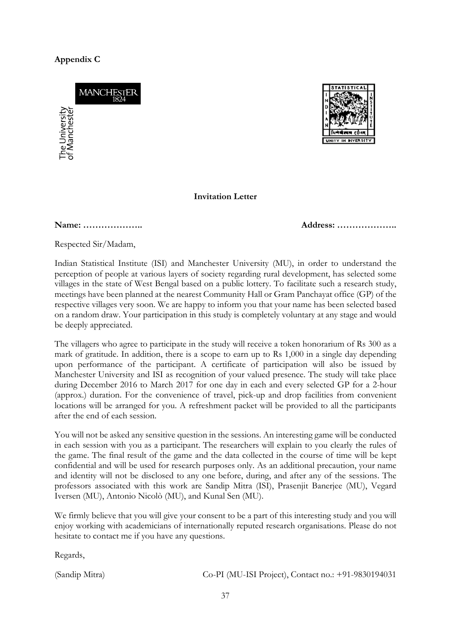# **Appendix C**

**MANCHESTE** ne University<br>Manchester



#### **Invitation Letter**

**Name: ……………….. Address: ………………..**

Respected Sir/Madam,

Indian Statistical Institute (ISI) and Manchester University (MU), in order to understand the perception of people at various layers of society regarding rural development, has selected some villages in the state of West Bengal based on a public lottery. To facilitate such a research study, meetings have been planned at the nearest Community Hall or Gram Panchayat office (GP) of the respective villages very soon. We are happy to inform you that your name has been selected based on a random draw. Your participation in this study is completely voluntary at any stage and would be deeply appreciated.

The villagers who agree to participate in the study will receive a token honorarium of Rs 300 as a mark of gratitude. In addition, there is a scope to earn up to Rs 1,000 in a single day depending upon performance of the participant. A certificate of participation will also be issued by Manchester University and ISI as recognition of your valued presence. The study will take place during December 2016 to March 2017 for one day in each and every selected GP for a 2-hour (approx.) duration. For the convenience of travel, pick-up and drop facilities from convenient locations will be arranged for you. A refreshment packet will be provided to all the participants after the end of each session.

You will not be asked any sensitive question in the sessions. An interesting game will be conducted in each session with you as a participant. The researchers will explain to you clearly the rules of the game. The final result of the game and the data collected in the course of time will be kept confidential and will be used for research purposes only. As an additional precaution, your name and identity will not be disclosed to any one before, during, and after any of the sessions. The professors associated with this work are Sandip Mitra (ISI), Prasenjit Banerjee (MU), Vegard Iversen (MU), Antonio Nicolò (MU), and Kunal Sen (MU).

We firmly believe that you will give your consent to be a part of this interesting study and you will enjoy working with academicians of internationally reputed research organisations. Please do not hesitate to contact me if you have any questions.

Regards,

(Sandip Mitra) Co-PI (MU-ISI Project), Contact no.: +91-9830194031